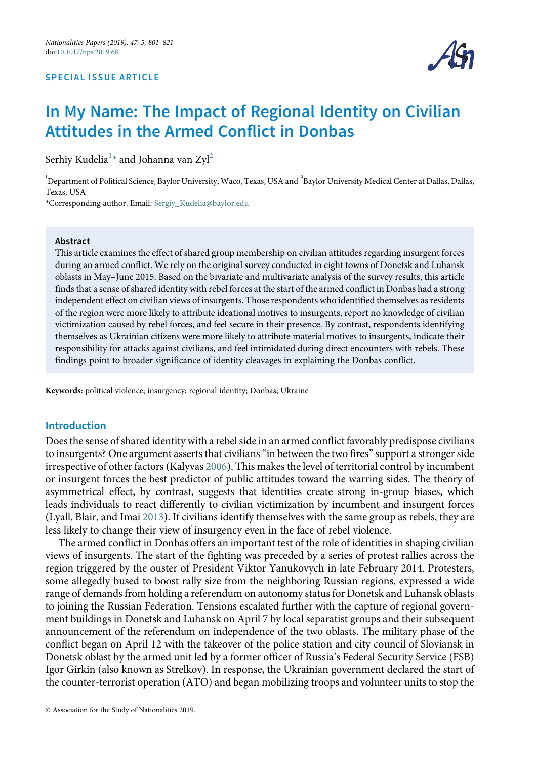#### SPECIAL ISSUE ARTICLE



# In My Name: The Impact of Regional Identity on Civilian Attitudes in the Armed Conflict in Donbas

Serhiy Kudelia $^{1\star}$  and Johanna van Zyl $^2$ 

<sup>1</sup> Department of Political Science, Baylor University, Waco, Texas, USA and <sup>2</sup>Baylor University Medical Center at Dallas, Dallas, Texas, USA

\*Corresponding author. Email: [Sergiy\\_Kudelia@baylor.edu](mailto:Sergiy_Kudelia@baylor.edu)

#### Abstract

This article examines the effect of shared group membership on civilian attitudes regarding insurgent forces during an armed conflict. We rely on the original survey conducted in eight towns of Donetsk and Luhansk oblasts in May–June 2015. Based on the bivariate and multivariate analysis of the survey results, this article finds that a sense of shared identity with rebel forces at the start of the armed conflict in Donbas had a strong independent effect on civilian views of insurgents. Those respondents who identified themselves as residents of the region were more likely to attribute ideational motives to insurgents, report no knowledge of civilian victimization caused by rebel forces, and feel secure in their presence. By contrast, respondents identifying themselves as Ukrainian citizens were more likely to attribute material motives to insurgents, indicate their responsibility for attacks against civilians, and feel intimidated during direct encounters with rebels. These findings point to broader significance of identity cleavages in explaining the Donbas conflict.

Keywords: political violence; insurgency; regional identity; Donbas; Ukraine

#### Introduction

Does the sense of shared identity with a rebel side in an armed conflict favorably predispose civilians to insurgents? One argument asserts that civilians"in between the two fires"support a stronger side irrespective of other factors (Kalyvas [2006](#page-19-0)). This makes the level of territorial control by incumbent or insurgent forces the best predictor of public attitudes toward the warring sides. The theory of asymmetrical effect, by contrast, suggests that identities create strong in-group biases, which leads individuals to react differently to civilian victimization by incumbent and insurgent forces (Lyall, Blair, and Imai [2013](#page-19-0)). If civilians identify themselves with the same group as rebels, they are less likely to change their view of insurgency even in the face of rebel violence.

The armed conflict in Donbas offers an important test of the role of identities in shaping civilian views of insurgents. The start of the fighting was preceded by a series of protest rallies across the region triggered by the ouster of President Viktor Yanukovych in late February 2014. Protesters, some allegedly bused to boost rally size from the neighboring Russian regions, expressed a wide range of demands from holding a referendum on autonomy status for Donetsk and Luhansk oblasts to joining the Russian Federation. Tensions escalated further with the capture of regional government buildings in Donetsk and Luhansk on April 7 by local separatist groups and their subsequent announcement of the referendum on independence of the two oblasts. The military phase of the conflict began on April 12 with the takeover of the police station and city council of Sloviansk in Donetsk oblast by the armed unit led by a former officer of Russia's Federal Security Service (FSB) Igor Girkin (also known as Strelkov). In response, the Ukrainian government declared the start of the counter-terrorist operation (ATO) and began mobilizing troops and volunteer units to stop the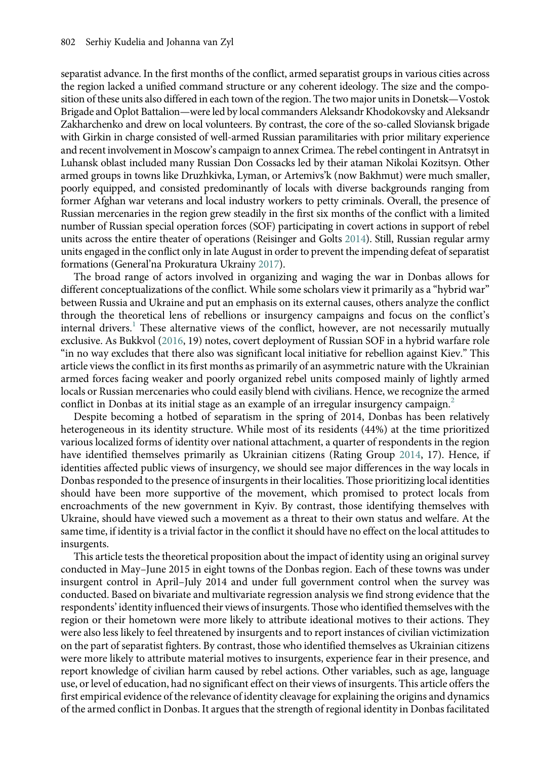separatist advance. In the first months of the conflict, armed separatist groups in various cities across the region lacked a unified command structure or any coherent ideology. The size and the composition of these units also differed in each town of the region. The two major units in Donetsk—Vostok Brigade and Oplot Battalion—were led by local commanders Aleksandr Khodokovsky and Aleksandr Zakharchenko and drew on local volunteers. By contrast, the core of the so-called Sloviansk brigade with Girkin in charge consisted of well-armed Russian paramilitaries with prior military experience and recent involvement in Moscow's campaign to annex Crimea. The rebel contingent in Antratsyt in Luhansk oblast included many Russian Don Cossacks led by their ataman Nikolai Kozitsyn. Other armed groups in towns like Druzhkivka, Lyman, or Artemivs'k (now Bakhmut) were much smaller, poorly equipped, and consisted predominantly of locals with diverse backgrounds ranging from former Afghan war veterans and local industry workers to petty criminals. Overall, the presence of Russian mercenaries in the region grew steadily in the first six months of the conflict with a limited number of Russian special operation forces (SOF) participating in covert actions in support of rebel units across the entire theater of operations (Reisinger and Golts [2014](#page-20-0)). Still, Russian regular army units engaged in the conflict only in late August in order to prevent the impending defeat of separatist formations (General'na Prokuratura Ukrainy [2017](#page-18-0)).

The broad range of actors involved in organizing and waging the war in Donbas allows for different conceptualizations of the conflict. While some scholars view it primarily as a "hybrid war" between Russia and Ukraine and put an emphasis on its external causes, others analyze the conflict through the theoretical lens of rebellions or insurgency campaigns and focus on the conflict's internal drivers.<sup>[1](#page-17-0)</sup> These alternative views of the conflict, however, are not necessarily mutually exclusive. As Bukkvol [\(2016,](#page-18-0) 19) notes, covert deployment of Russian SOF in a hybrid warfare role "in no way excludes that there also was significant local initiative for rebellion against Kiev." This article views the conflict in its first months as primarily of an asymmetric nature with the Ukrainian armed forces facing weaker and poorly organized rebel units composed mainly of lightly armed locals or Russian mercenaries who could easily blend with civilians. Hence, we recognize the armed conflict in Donbas at its initial stage as an example of an irregular insurgency campaign.<sup>[2](#page-17-0)</sup>

Despite becoming a hotbed of separatism in the spring of 2014, Donbas has been relatively heterogeneous in its identity structure. While most of its residents (44%) at the time prioritized various localized forms of identity over national attachment, a quarter of respondents in the region have identified themselves primarily as Ukrainian citizens (Rating Group [2014,](#page-20-0) 17). Hence, if identities affected public views of insurgency, we should see major differences in the way locals in Donbas responded to the presence of insurgents in their localities. Those prioritizing local identities should have been more supportive of the movement, which promised to protect locals from encroachments of the new government in Kyiv. By contrast, those identifying themselves with Ukraine, should have viewed such a movement as a threat to their own status and welfare. At the same time, if identity is a trivial factor in the conflict it should have no effect on the local attitudes to insurgents.

This article tests the theoretical proposition about the impact of identity using an original survey conducted in May–June 2015 in eight towns of the Donbas region. Each of these towns was under insurgent control in April–July 2014 and under full government control when the survey was conducted. Based on bivariate and multivariate regression analysis we find strong evidence that the respondents' identity influenced their views of insurgents. Those who identified themselves with the region or their hometown were more likely to attribute ideational motives to their actions. They were also less likely to feel threatened by insurgents and to report instances of civilian victimization on the part of separatist fighters. By contrast, those who identified themselves as Ukrainian citizens were more likely to attribute material motives to insurgents, experience fear in their presence, and report knowledge of civilian harm caused by rebel actions. Other variables, such as age, language use, or level of education, had no significant effect on their views of insurgents. This article offers the first empirical evidence of the relevance of identity cleavage for explaining the origins and dynamics of the armed conflict in Donbas. It argues that the strength of regional identity in Donbas facilitated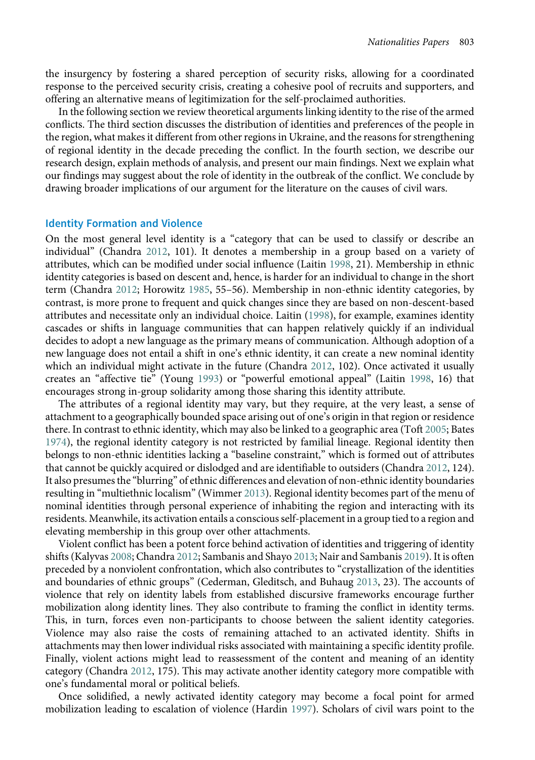the insurgency by fostering a shared perception of security risks, allowing for a coordinated response to the perceived security crisis, creating a cohesive pool of recruits and supporters, and offering an alternative means of legitimization for the self-proclaimed authorities.

In the following section we review theoretical arguments linking identity to the rise of the armed conflicts. The third section discusses the distribution of identities and preferences of the people in the region, what makes it different from other regions in Ukraine, and the reasons for strengthening of regional identity in the decade preceding the conflict. In the fourth section, we describe our research design, explain methods of analysis, and present our main findings. Next we explain what our findings may suggest about the role of identity in the outbreak of the conflict. We conclude by drawing broader implications of our argument for the literature on the causes of civil wars.

## Identity Formation and Violence

On the most general level identity is a "category that can be used to classify or describe an individual" (Chandra [2012](#page-18-0), 101). It denotes a membership in a group based on a variety of attributes, which can be modified under social influence (Laitin [1998](#page-19-0), 21). Membership in ethnic identity categories is based on descent and, hence, is harder for an individual to change in the short term (Chandra [2012](#page-18-0); Horowitz [1985](#page-19-0), 55–56). Membership in non-ethnic identity categories, by contrast, is more prone to frequent and quick changes since they are based on non-descent-based attributes and necessitate only an individual choice. Laitin [\(1998\)](#page-19-0), for example, examines identity cascades or shifts in language communities that can happen relatively quickly if an individual decides to adopt a new language as the primary means of communication. Although adoption of a new language does not entail a shift in one's ethnic identity, it can create a new nominal identity which an individual might activate in the future (Chandra [2012](#page-18-0), 102). Once activated it usually creates an "affective tie" (Young [1993\)](#page-20-0) or "powerful emotional appeal" (Laitin [1998](#page-19-0), 16) that encourages strong in-group solidarity among those sharing this identity attribute.

The attributes of a regional identity may vary, but they require, at the very least, a sense of attachment to a geographically bounded space arising out of one's origin in that region or residence there. In contrast to ethnic identity, which may also be linked to a geographic area (Toft [2005;](#page-20-0) Bates [1974](#page-18-0)), the regional identity category is not restricted by familial lineage. Regional identity then belongs to non-ethnic identities lacking a "baseline constraint," which is formed out of attributes that cannot be quickly acquired or dislodged and are identifiable to outsiders (Chandra [2012](#page-18-0), 124). It also presumes the "blurring" of ethnic differences and elevation of non-ethnic identity boundaries resulting in "multiethnic localism" (Wimmer [2013\)](#page-20-0). Regional identity becomes part of the menu of nominal identities through personal experience of inhabiting the region and interacting with its residents. Meanwhile, its activation entails a conscious self-placement in a group tied to a region and elevating membership in this group over other attachments.

Violent conflict has been a potent force behind activation of identities and triggering of identity shifts (Kalyvas [2008;](#page-19-0) Chandra [2012;](#page-18-0) Sambanis and Shayo [2013](#page-20-0); Nair and Sambanis [2019](#page-19-0)). It is often preceded by a nonviolent confrontation, which also contributes to "crystallization of the identities and boundaries of ethnic groups" (Cederman, Gleditsch, and Buhaug [2013](#page-18-0), 23). The accounts of violence that rely on identity labels from established discursive frameworks encourage further mobilization along identity lines. They also contribute to framing the conflict in identity terms. This, in turn, forces even non-participants to choose between the salient identity categories. Violence may also raise the costs of remaining attached to an activated identity. Shifts in attachments may then lower individual risks associated with maintaining a specific identity profile. Finally, violent actions might lead to reassessment of the content and meaning of an identity category (Chandra [2012](#page-18-0), 175). This may activate another identity category more compatible with one's fundamental moral or political beliefs.

Once solidified, a newly activated identity category may become a focal point for armed mobilization leading to escalation of violence (Hardin [1997](#page-18-0)). Scholars of civil wars point to the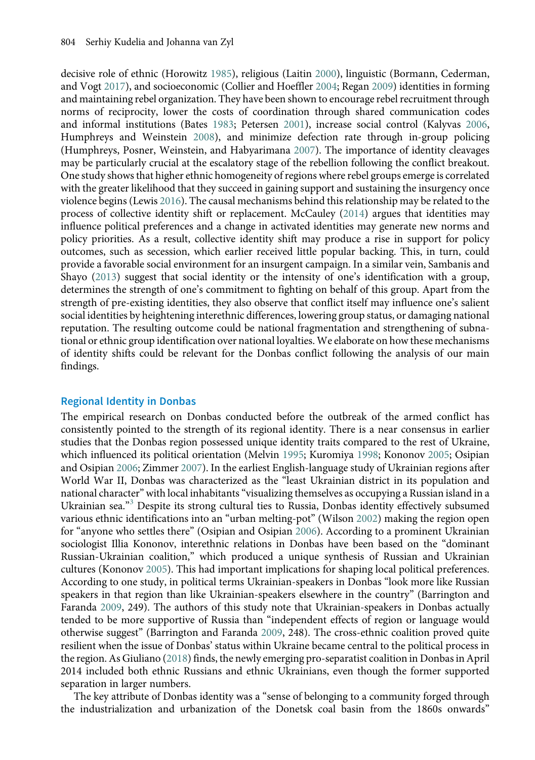decisive role of ethnic (Horowitz [1985\)](#page-19-0), religious (Laitin [2000](#page-19-0)), linguistic (Bormann, Cederman, and Vogt [2017\)](#page-18-0), and socioeconomic (Collier and Hoeffler [2004;](#page-18-0) Regan [2009](#page-20-0)) identities in forming and maintaining rebel organization. They have been shown to encourage rebel recruitment through norms of reciprocity, lower the costs of coordination through shared communication codes and informal institutions (Bates [1983;](#page-18-0) Petersen [2001](#page-20-0)), increase social control (Kalyvas [2006](#page-19-0), Humphreys and Weinstein [2008\)](#page-19-0), and minimize defection rate through in-group policing (Humphreys, Posner, Weinstein, and Habyarimana [2007\)](#page-18-0). The importance of identity cleavages may be particularly crucial at the escalatory stage of the rebellion following the conflict breakout. One study shows that higher ethnic homogeneity of regions where rebel groups emerge is correlated with the greater likelihood that they succeed in gaining support and sustaining the insurgency once violence begins (Lewis [2016\)](#page-19-0). The causal mechanisms behind this relationship may be related to the process of collective identity shift or replacement. McCauley ([2014](#page-19-0)) argues that identities may influence political preferences and a change in activated identities may generate new norms and policy priorities. As a result, collective identity shift may produce a rise in support for policy outcomes, such as secession, which earlier received little popular backing. This, in turn, could provide a favorable social environment for an insurgent campaign. In a similar vein, Sambanis and Shayo ([2013\)](#page-20-0) suggest that social identity or the intensity of one's identification with a group, determines the strength of one's commitment to fighting on behalf of this group. Apart from the strength of pre-existing identities, they also observe that conflict itself may influence one's salient social identities by heightening interethnic differences, lowering group status, or damaging national reputation. The resulting outcome could be national fragmentation and strengthening of subnational or ethnic group identification over national loyalties. We elaborate on how these mechanisms of identity shifts could be relevant for the Donbas conflict following the analysis of our main findings.

## Regional Identity in Donbas

The empirical research on Donbas conducted before the outbreak of the armed conflict has consistently pointed to the strength of its regional identity. There is a near consensus in earlier studies that the Donbas region possessed unique identity traits compared to the rest of Ukraine, which influenced its political orientation (Melvin [1995](#page-19-0); Kuromiya [1998;](#page-19-0) Kononov [2005](#page-19-0); Osipian and Osipian [2006](#page-19-0); Zimmer [2007](#page-20-0)). In the earliest English-language study of Ukrainian regions after World War II, Donbas was characterized as the "least Ukrainian district in its population and national character" with local inhabitants"visualizing themselves as occupying a Russian island in a Ukrainian sea."<sup>[3](#page-17-0)</sup> Despite its strong cultural ties to Russia, Donbas identity effectively subsumed various ethnic identifications into an "urban melting-pot" (Wilson [2002](#page-20-0)) making the region open for "anyone who settles there" (Osipian and Osipian [2006](#page-19-0)). According to a prominent Ukrainian sociologist Illia Kononov, interethnic relations in Donbas have been based on the "dominant Russian-Ukrainian coalition," which produced a unique synthesis of Russian and Ukrainian cultures (Kononov [2005](#page-19-0)). This had important implications for shaping local political preferences. According to one study, in political terms Ukrainian-speakers in Donbas "look more like Russian speakers in that region than like Ukrainian-speakers elsewhere in the country" (Barrington and Faranda [2009](#page-18-0), 249). The authors of this study note that Ukrainian-speakers in Donbas actually tended to be more supportive of Russia than "independent effects of region or language would otherwise suggest" (Barrington and Faranda [2009](#page-18-0), 248). The cross-ethnic coalition proved quite resilient when the issue of Donbas' status within Ukraine became central to the political process in the region. As Giuliano [\(2018](#page-18-0)) finds, the newly emerging pro-separatist coalition in Donbas in April 2014 included both ethnic Russians and ethnic Ukrainians, even though the former supported separation in larger numbers.

The key attribute of Donbas identity was a "sense of belonging to a community forged through the industrialization and urbanization of the Donetsk coal basin from the 1860s onwards"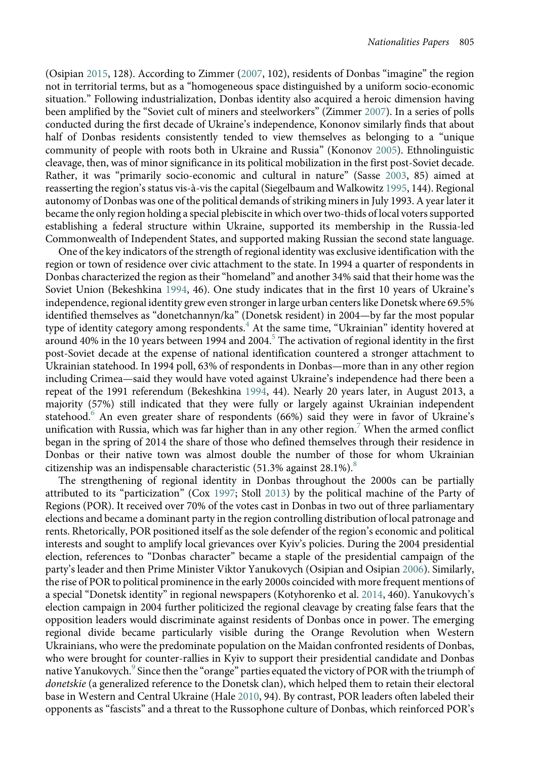(Osipian [2015](#page-19-0), 128). According to Zimmer [\(2007,](#page-20-0) 102), residents of Donbas "imagine" the region not in territorial terms, but as a "homogeneous space distinguished by a uniform socio-economic situation." Following industrialization, Donbas identity also acquired a heroic dimension having been amplified by the "Soviet cult of miners and steelworkers" (Zimmer [2007\)](#page-20-0). In a series of polls conducted during the first decade of Ukraine's independence, Kononov similarly finds that about half of Donbas residents consistently tended to view themselves as belonging to a "unique community of people with roots both in Ukraine and Russia" (Kononov [2005](#page-19-0)). Ethnolinguistic cleavage, then, was of minor significance in its political mobilization in the first post-Soviet decade. Rather, it was "primarily socio-economic and cultural in nature" (Sasse [2003,](#page-20-0) 85) aimed at reasserting the region's status vis-à-vis the capital (Siegelbaum and Walkowitz [1995](#page-20-0), 144). Regional autonomy of Donbas was one of the political demands of striking miners in July 1993. A year later it became the only region holding a special plebiscite in which over two-thids of local voters supported establishing a federal structure within Ukraine, supported its membership in the Russia-led Commonwealth of Independent States, and supported making Russian the second state language.

One of the key indicators of the strength of regional identity was exclusive identification with the region or town of residence over civic attachment to the state. In 1994 a quarter of respondents in Donbas characterized the region as their"homeland" and another 34% said that their home was the Soviet Union (Bekeshkina [1994](#page-18-0), 46). One study indicates that in the first 10 years of Ukraine's independence, regional identity grew even stronger in large urban centers like Donetsk where 69.5% identified themselves as "donetchannyn/ka" (Donetsk resident) in 2004—by far the most popular type of identity category among respondents.<sup>[4](#page-17-0)</sup> At the same time, "Ukrainian" identity hovered at around 40% in the 10 years between 1994 and 2004.<sup>5</sup> The activation of regional identity in the first post-Soviet decade at the expense of national identification countered a stronger attachment to Ukrainian statehood. In 1994 poll, 63% of respondents in Donbas—more than in any other region including Crimea—said they would have voted against Ukraine's independence had there been a repeat of the 1991 referendum (Bekeshkina [1994,](#page-18-0) 44). Nearly 20 years later, in August 2013, a majority (57%) still indicated that they were fully or largely against Ukrainian independent statehood.<sup>[6](#page-17-0)</sup> An even greater share of respondents (66%) said they were in favor of Ukraine's unification with Russia, which was far higher than in any other region.<sup>[7](#page-17-0)</sup> When the armed conflict began in the spring of 2014 the share of those who defined themselves through their residence in Donbas or their native town was almost double the number of those for whom Ukrainian citizenship was an indispensable characteristic  $(51.3\%$  against  $28.1\%)$  $28.1\%)$  $28.1\%)$ .<sup>8</sup>

The strengthening of regional identity in Donbas throughout the 2000s can be partially attributed to its "particization" (Cox [1997;](#page-18-0) Stoll [2013\)](#page-20-0) by the political machine of the Party of Regions (POR). It received over 70% of the votes cast in Donbas in two out of three parliamentary elections and became a dominant party in the region controlling distribution of local patronage and rents. Rhetorically, POR positioned itself as the sole defender of the region's economic and political interests and sought to amplify local grievances over Kyiv's policies. During the 2004 presidential election, references to "Donbas character" became a staple of the presidential campaign of the party's leader and then Prime Minister Viktor Yanukovych (Osipian and Osipian [2006\)](#page-19-0). Similarly, the rise of POR to political prominence in the early 2000s coincided with more frequent mentions of a special "Donetsk identity" in regional newspapers (Kotyhorenko et al. [2014](#page-19-0), 460). Yanukovych's election campaign in 2004 further politicized the regional cleavage by creating false fears that the opposition leaders would discriminate against residents of Donbas once in power. The emerging regional divide became particularly visible during the Orange Revolution when Western Ukrainians, who were the predominate population on the Maidan confronted residents of Donbas, who were brought for counter-rallies in Kyiv to support their presidential candidate and Donbas native Yanukovych.<sup>[9](#page-17-0)</sup> Since then the "orange" parties equated the victory of POR with the triumph of donetskie (a generalized reference to the Donetsk clan), which helped them to retain their electoral base in Western and Central Ukraine (Hale [2010,](#page-18-0) 94). By contrast, POR leaders often labeled their opponents as "fascists" and a threat to the Russophone culture of Donbas, which reinforced POR's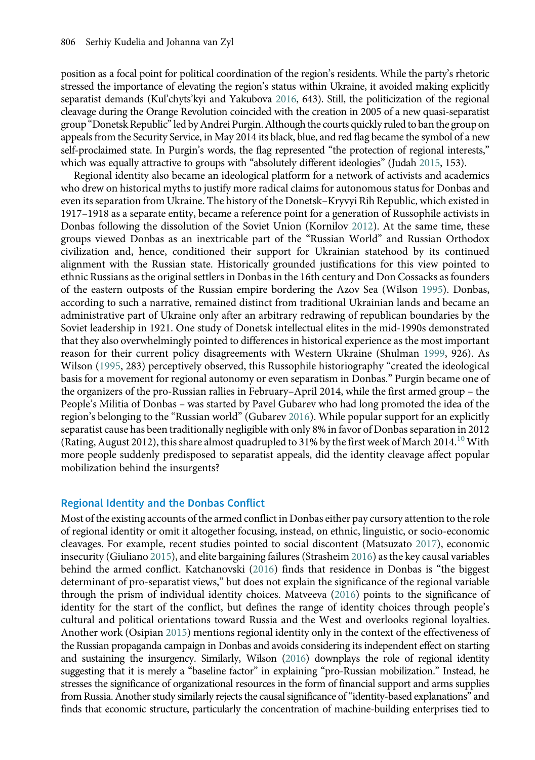position as a focal point for political coordination of the region's residents. While the party's rhetoric stressed the importance of elevating the region's status within Ukraine, it avoided making explicitly separatist demands (Kul'chyts'kyi and Yakubova [2016](#page-19-0), 643). Still, the politicization of the regional cleavage during the Orange Revolution coincided with the creation in 2005 of a new quasi-separatist group "Donetsk Republic"led by Andrei Purgin. Although the courts quickly ruled to ban the group on appeals from the Security Service, in May 2014 its black, blue, and red flag became the symbol of a new self-proclaimed state. In Purgin's words, the flag represented "the protection of regional interests," which was equally attractive to groups with "absolutely different ideologies" (Judah [2015,](#page-19-0) 153).

Regional identity also became an ideological platform for a network of activists and academics who drew on historical myths to justify more radical claims for autonomous status for Donbas and even its separation from Ukraine. The history of the Donetsk–Kryvyi Rih Republic, which existed in 1917–1918 as a separate entity, became a reference point for a generation of Russophile activists in Donbas following the dissolution of the Soviet Union (Kornilov [2012](#page-19-0)). At the same time, these groups viewed Donbas as an inextricable part of the "Russian World" and Russian Orthodox civilization and, hence, conditioned their support for Ukrainian statehood by its continued alignment with the Russian state. Historically grounded justifications for this view pointed to ethnic Russians as the original settlers in Donbas in the 16th century and Don Cossacks as founders of the eastern outposts of the Russian empire bordering the Azov Sea (Wilson [1995](#page-20-0)). Donbas, according to such a narrative, remained distinct from traditional Ukrainian lands and became an administrative part of Ukraine only after an arbitrary redrawing of republican boundaries by the Soviet leadership in 1921. One study of Donetsk intellectual elites in the mid-1990s demonstrated that they also overwhelmingly pointed to differences in historical experience as the most important reason for their current policy disagreements with Western Ukraine (Shulman [1999](#page-20-0), 926). As Wilson ([1995](#page-20-0), 283) perceptively observed, this Russophile historiography "created the ideological basis for a movement for regional autonomy or even separatism in Donbas." Purgin became one of the organizers of the pro-Russian rallies in February–April 2014, while the first armed group – the People's Militia of Donbas – was started by Pavel Gubarev who had long promoted the idea of the region's belonging to the "Russian world" (Gubarev [2016\)](#page-18-0). While popular support for an explicitly separatist cause has been traditionally negligible with only 8% in favor of Donbas separation in 2012 (Rating, August 2012), this share almost quadrupled to 31% by the first week of March 2014.<sup>[10](#page-17-0)</sup> With more people suddenly predisposed to separatist appeals, did the identity cleavage affect popular mobilization behind the insurgents?

## Regional Identity and the Donbas Conflict

Most of the existing accounts of the armed conflict in Donbas either pay cursory attention to the role of regional identity or omit it altogether focusing, instead, on ethnic, linguistic, or socio-economic cleavages. For example, recent studies pointed to social discontent (Matsuzato [2017\)](#page-19-0), economic insecurity (Giuliano [2015](#page-18-0)), and elite bargaining failures (Strasheim [2016\)](#page-20-0) as the key causal variables behind the armed conflict. Katchanovski [\(2016\)](#page-19-0) finds that residence in Donbas is "the biggest determinant of pro-separatist views," but does not explain the significance of the regional variable through the prism of individual identity choices. Matveeva [\(2016](#page-19-0)) points to the significance of identity for the start of the conflict, but defines the range of identity choices through people's cultural and political orientations toward Russia and the West and overlooks regional loyalties. Another work (Osipian [2015\)](#page-19-0) mentions regional identity only in the context of the effectiveness of the Russian propaganda campaign in Donbas and avoids considering its independent effect on starting and sustaining the insurgency. Similarly, Wilson [\(2016\)](#page-20-0) downplays the role of regional identity suggesting that it is merely a "baseline factor" in explaining "pro-Russian mobilization." Instead, he stresses the significance of organizational resources in the form of financial support and arms supplies from Russia. Another study similarly rejects the causal significance of"identity-based explanations" and finds that economic structure, particularly the concentration of machine-building enterprises tied to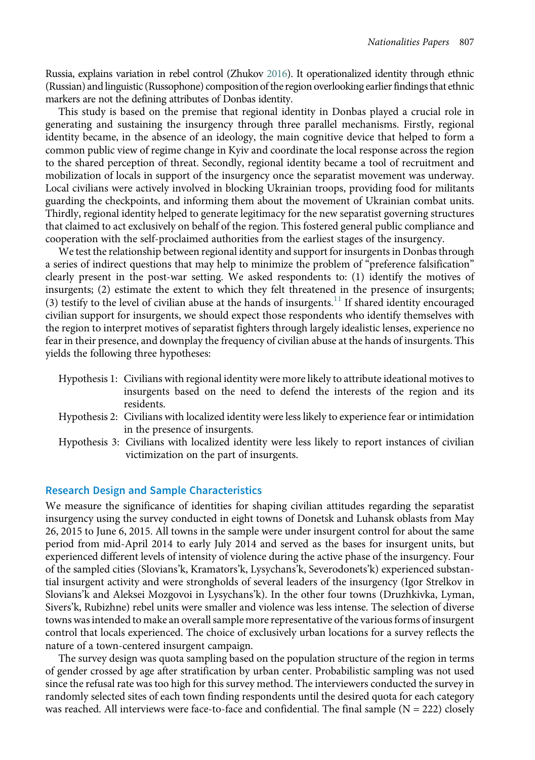Russia, explains variation in rebel control (Zhukov [2016\)](#page-20-0). It operationalized identity through ethnic (Russian) and linguistic (Russophone) composition of the region overlooking earlier findings that ethnic markers are not the defining attributes of Donbas identity.

This study is based on the premise that regional identity in Donbas played a crucial role in generating and sustaining the insurgency through three parallel mechanisms. Firstly, regional identity became, in the absence of an ideology, the main cognitive device that helped to form a common public view of regime change in Kyiv and coordinate the local response across the region to the shared perception of threat. Secondly, regional identity became a tool of recruitment and mobilization of locals in support of the insurgency once the separatist movement was underway. Local civilians were actively involved in blocking Ukrainian troops, providing food for militants guarding the checkpoints, and informing them about the movement of Ukrainian combat units. Thirdly, regional identity helped to generate legitimacy for the new separatist governing structures that claimed to act exclusively on behalf of the region. This fostered general public compliance and cooperation with the self-proclaimed authorities from the earliest stages of the insurgency.

We test the relationship between regional identity and support for insurgents in Donbas through a series of indirect questions that may help to minimize the problem of "preference falsification" clearly present in the post-war setting. We asked respondents to: (1) identify the motives of insurgents; (2) estimate the extent to which they felt threatened in the presence of insurgents; (3) testify to the level of civilian abuse at the hands of insurgents.<sup>[11](#page-17-0)</sup> If shared identity encouraged civilian support for insurgents, we should expect those respondents who identify themselves with the region to interpret motives of separatist fighters through largely idealistic lenses, experience no fear in their presence, and downplay the frequency of civilian abuse at the hands of insurgents. This yields the following three hypotheses:

- Hypothesis 1: Civilians with regional identity were more likely to attribute ideational motives to insurgents based on the need to defend the interests of the region and its residents.
- Hypothesis 2: Civilians with localized identity were less likely to experience fear or intimidation in the presence of insurgents.
- Hypothesis 3: Civilians with localized identity were less likely to report instances of civilian victimization on the part of insurgents.

## Research Design and Sample Characteristics

We measure the significance of identities for shaping civilian attitudes regarding the separatist insurgency using the survey conducted in eight towns of Donetsk and Luhansk oblasts from May 26, 2015 to June 6, 2015. All towns in the sample were under insurgent control for about the same period from mid-April 2014 to early July 2014 and served as the bases for insurgent units, but experienced different levels of intensity of violence during the active phase of the insurgency. Four of the sampled cities (Slovians'k, Kramators'k, Lysychans'k, Severodonets'k) experienced substantial insurgent activity and were strongholds of several leaders of the insurgency (Igor Strelkov in Slovians'k and Aleksei Mozgovoi in Lysychans'k). In the other four towns (Druzhkivka, Lyman, Sivers'k, Rubizhne) rebel units were smaller and violence was less intense. The selection of diverse towns was intended to make an overall sample more representative of the various forms of insurgent control that locals experienced. The choice of exclusively urban locations for a survey reflects the nature of a town-centered insurgent campaign.

The survey design was quota sampling based on the population structure of the region in terms of gender crossed by age after stratification by urban center. Probabilistic sampling was not used since the refusal rate was too high for this survey method. The interviewers conducted the survey in randomly selected sites of each town finding respondents until the desired quota for each category was reached. All interviews were face-to-face and confidential. The final sample ( $N = 222$ ) closely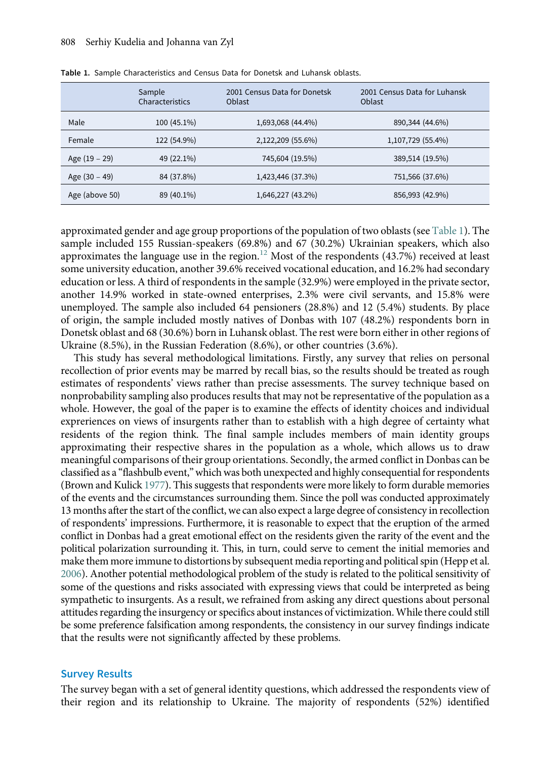|                 | Sample<br>Characteristics | 2001 Census Data for Donetsk<br>Oblast | 2001 Census Data for Luhansk<br>Oblast |
|-----------------|---------------------------|----------------------------------------|----------------------------------------|
| Male            | 100 (45.1%)               | 1,693,068 (44.4%)                      | 890,344 (44.6%)                        |
| Female          | 122 (54.9%)               | 2,122,209 (55.6%)                      | 1,107,729 (55.4%)                      |
| Age $(19 - 29)$ | 49 (22.1%)                | 745,604 (19.5%)                        | 389,514 (19.5%)                        |
| Age $(30 - 49)$ | 84 (37.8%)                | 1,423,446 (37.3%)                      | 751,566 (37.6%)                        |
| Age (above 50)  | 89 (40.1%)                | 1,646,227 (43.2%)                      | 856,993 (42.9%)                        |

Table 1. Sample Characteristics and Census Data for Donetsk and Luhansk oblasts.

approximated gender and age group proportions of the population of two oblasts (see Table 1). The sample included 155 Russian-speakers (69.8%) and 67 (30.2%) Ukrainian speakers, which also approximates the language use in the region.<sup>[12](#page-17-0)</sup> Most of the respondents (43.7%) received at least some university education, another 39.6% received vocational education, and 16.2% had secondary education or less. A third of respondents in the sample (32.9%) were employed in the private sector, another 14.9% worked in state-owned enterprises, 2.3% were civil servants, and 15.8% were unemployed. The sample also included 64 pensioners (28.8%) and 12 (5.4%) students. By place of origin, the sample included mostly natives of Donbas with 107 (48.2%) respondents born in Donetsk oblast and 68 (30.6%) born in Luhansk oblast. The rest were born either in other regions of Ukraine (8.5%), in the Russian Federation (8.6%), or other countries (3.6%).

This study has several methodological limitations. Firstly, any survey that relies on personal recollection of prior events may be marred by recall bias, so the results should be treated as rough estimates of respondents' views rather than precise assessments. The survey technique based on nonprobability sampling also produces results that may not be representative of the population as a whole. However, the goal of the paper is to examine the effects of identity choices and individual expreriences on views of insurgents rather than to establish with a high degree of certainty what residents of the region think. The final sample includes members of main identity groups approximating their respective shares in the population as a whole, which allows us to draw meaningful comparisons of their group orientations. Secondly, the armed conflict in Donbas can be classified as a "flashbulb event,"which was both unexpected and highly consequential for respondents (Brown and Kulick [1977](#page-18-0)). This suggests that respondents were more likely to form durable memories of the events and the circumstances surrounding them. Since the poll was conducted approximately 13 months after the start of the conflict, we can also expect a large degree of consistency in recollection of respondents' impressions. Furthermore, it is reasonable to expect that the eruption of the armed conflict in Donbas had a great emotional effect on the residents given the rarity of the event and the political polarization surrounding it. This, in turn, could serve to cement the initial memories and make them more immune to distortions by subsequent media reporting and political spin (Hepp et al. [2006](#page-18-0)). Another potential methodological problem of the study is related to the political sensitivity of some of the questions and risks associated with expressing views that could be interpreted as being sympathetic to insurgents. As a result, we refrained from asking any direct questions about personal attitudes regarding the insurgency or specifics about instances of victimization. While there could still be some preference falsification among respondents, the consistency in our survey findings indicate that the results were not significantly affected by these problems.

#### Survey Results

The survey began with a set of general identity questions, which addressed the respondents view of their region and its relationship to Ukraine. The majority of respondents (52%) identified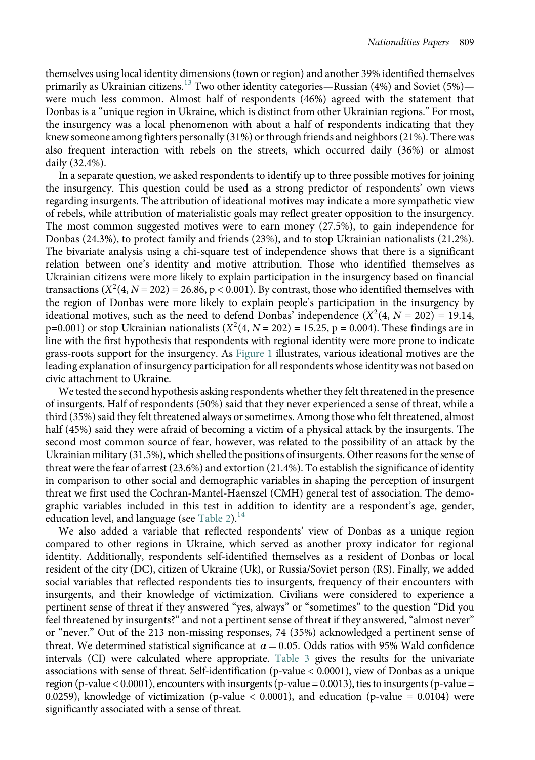themselves using local identity dimensions (town or region) and another 39% identified themselves primarily as Ukrainian citizens.<sup>[13](#page-17-0)</sup> Two other identity categories—Russian (4%) and Soviet (5%) were much less common. Almost half of respondents (46%) agreed with the statement that Donbas is a "unique region in Ukraine, which is distinct from other Ukrainian regions." For most, the insurgency was a local phenomenon with about a half of respondents indicating that they knew someone among fighters personally (31%) or through friends and neighbors (21%). There was also frequent interaction with rebels on the streets, which occurred daily (36%) or almost daily (32.4%).

In a separate question, we asked respondents to identify up to three possible motives for joining the insurgency. This question could be used as a strong predictor of respondents' own views regarding insurgents. The attribution of ideational motives may indicate a more sympathetic view of rebels, while attribution of materialistic goals may reflect greater opposition to the insurgency. The most common suggested motives were to earn money (27.5%), to gain independence for Donbas (24.3%), to protect family and friends (23%), and to stop Ukrainian nationalists (21.2%). The bivariate analysis using a chi-square test of independence shows that there is a significant relation between one's identity and motive attribution. Those who identified themselves as Ukrainian citizens were more likely to explain participation in the insurgency based on financial transactions  $(X^2(4, N = 202) = 26.86, p < 0.001)$ . By contrast, those who identified themselves with the region of Donbas were more likely to explain people's participation in the insurgency by ideational motives, such as the need to defend Donbas' independence  $(X^2(4, N = 202) = 19.14$ , p=0.001) or stop Ukrainian nationalists  $(X^2(4, N = 202) = 15.25, p = 0.004)$ . These findings are in line with the first hypothesis that respondents with regional identity were more prone to indicate grass-roots support for the insurgency. As [Figure 1](#page-9-0) illustrates, various ideational motives are the leading explanation of insurgency participation for all respondents whose identity was not based on civic attachment to Ukraine.

We tested the second hypothesis asking respondents whether they felt threatened in the presence of insurgents. Half of respondents (50%) said that they never experienced a sense of threat, while a third (35%) said they felt threatened always or sometimes. Among those who felt threatened, almost half (45%) said they were afraid of becoming a victim of a physical attack by the insurgents. The second most common source of fear, however, was related to the possibility of an attack by the Ukrainian military (31.5%), which shelled the positions of insurgents. Other reasons for the sense of threat were the fear of arrest (23.6%) and extortion (21.4%). To establish the significance of identity in comparison to other social and demographic variables in shaping the perception of insurgent threat we first used the Cochran-Mantel-Haenszel (CMH) general test of association. The demographic variables included in this test in addition to identity are a respondent's age, gender, education level, and language (see [Table 2\)](#page-9-0). $<sup>14</sup>$  $<sup>14</sup>$  $<sup>14</sup>$ </sup>

We also added a variable that reflected respondents' view of Donbas as a unique region compared to other regions in Ukraine, which served as another proxy indicator for regional identity. Additionally, respondents self-identified themselves as a resident of Donbas or local resident of the city (DC), citizen of Ukraine (Uk), or Russia/Soviet person (RS). Finally, we added social variables that reflected respondents ties to insurgents, frequency of their encounters with insurgents, and their knowledge of victimization. Civilians were considered to experience a pertinent sense of threat if they answered "yes, always" or "sometimes" to the question "Did you feel threatened by insurgents?" and not a pertinent sense of threat if they answered, "almost never" or "never." Out of the 213 non-missing responses, 74 (35%) acknowledged a pertinent sense of threat. We determined statistical significance at  $\alpha = 0.05$ . Odds ratios with 95% Wald confidence intervals (CI) were calculated where appropriate. [Table 3](#page-10-0) gives the results for the univariate associations with sense of threat. Self-identification (p-value < 0.0001), view of Donbas as a unique region (p-value < 0.0001), encounters with insurgents (p-value = 0.0013), ties to insurgents (p-value = 0.0259), knowledge of victimization (p-value  $< 0.0001$ ), and education (p-value = 0.0104) were significantly associated with a sense of threat.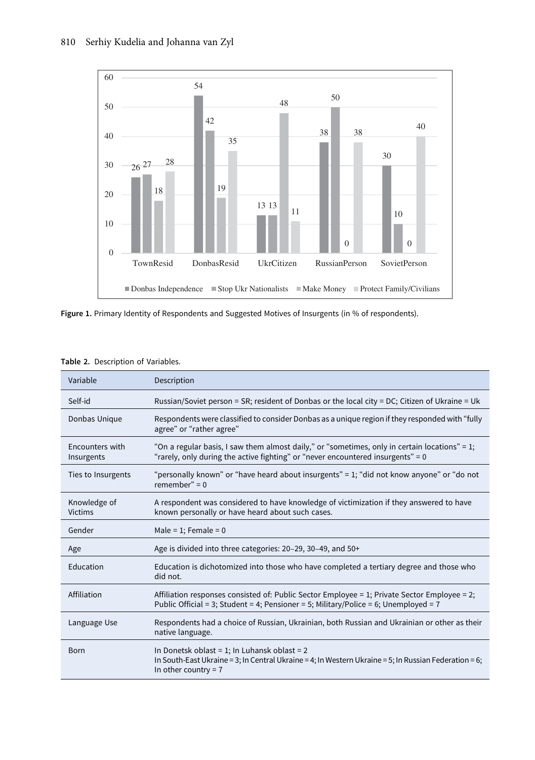<span id="page-9-0"></span>

Figure 1. Primary Identity of Respondents and Suggested Motives of Insurgents (in % of respondents).

|  |  | Table 2. Description of Variables. |
|--|--|------------------------------------|
|--|--|------------------------------------|

| Variable                      | Description                                                                                                                                                                          |
|-------------------------------|--------------------------------------------------------------------------------------------------------------------------------------------------------------------------------------|
| Self-id                       | Russian/Soviet person = SR; resident of Donbas or the local city = DC; Citizen of Ukraine = Uk                                                                                       |
| Donbas Unique                 | Respondents were classified to consider Donbas as a unique region if they responded with "fully<br>agree" or "rather agree"                                                          |
| Encounters with<br>Insurgents | "On a regular basis, I saw them almost daily," or "sometimes, only in certain locations" = 1;<br>"rarely, only during the active fighting" or "never encountered insurgents" = 0     |
| Ties to Insurgents            | "personally known" or "have heard about insurgents" = 1; "did not know anyone" or "do not<br>remember" = $0$                                                                         |
| Knowledge of<br>Victims       | A respondent was considered to have knowledge of victimization if they answered to have<br>known personally or have heard about such cases.                                          |
| Gender                        | Male = 1; Female = $0$                                                                                                                                                               |
| Age                           | Age is divided into three categories: 20–29, 30–49, and 50+                                                                                                                          |
| Education                     | Education is dichotomized into those who have completed a tertiary degree and those who<br>did not.                                                                                  |
| Affiliation                   | Affiliation responses consisted of: Public Sector Employee = 1; Private Sector Employee = 2;<br>Public Official = 3; Student = 4; Pensioner = 5; Military/Police = 6; Unemployed = 7 |
| Language Use                  | Respondents had a choice of Russian, Ukrainian, both Russian and Ukrainian or other as their<br>native language.                                                                     |
| <b>Born</b>                   | In Donetsk oblast = 1; In Luhansk oblast = 2<br>In South-East Ukraine = 3; In Central Ukraine = 4; In Western Ukraine = 5; In Russian Federation = 6;<br>In other country = $7$      |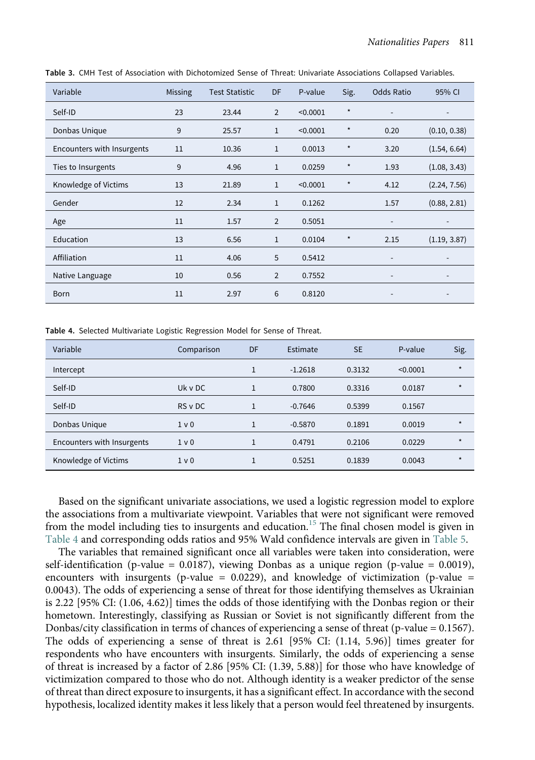| Variable                   | Missing | <b>Test Statistic</b> | DF             | P-value  | Sig.    | <b>Odds Ratio</b>        | 95% CI                   |
|----------------------------|---------|-----------------------|----------------|----------|---------|--------------------------|--------------------------|
| Self-ID                    | 23      | 23.44                 | $\overline{2}$ | < 0.0001 | $\star$ | $\overline{\phantom{a}}$ | $\overline{\phantom{a}}$ |
| Donbas Unique              | 9       | 25.57                 | $\mathbf{1}$   | < 0.0001 | $\star$ | 0.20                     | (0.10, 0.38)             |
| Encounters with Insurgents | 11      | 10.36                 | $\mathbf{1}$   | 0.0013   | $\star$ | 3.20                     | (1.54, 6.64)             |
| Ties to Insurgents         | 9       | 4.96                  | $\mathbf{1}$   | 0.0259   | $\star$ | 1.93                     | (1.08, 3.43)             |
| Knowledge of Victims       | 13      | 21.89                 | $\mathbf{1}$   | < 0.0001 | $\star$ | 4.12                     | (2.24, 7.56)             |
| Gender                     | 12      | 2.34                  | $\mathbf{1}$   | 0.1262   |         | 1.57                     | (0.88, 2.81)             |
| Age                        | 11      | 1.57                  | $\overline{2}$ | 0.5051   |         |                          |                          |
| Education                  | 13      | 6.56                  | $\mathbf{1}$   | 0.0104   | $\star$ | 2.15                     | (1.19, 3.87)             |
| Affiliation                | 11      | 4.06                  | 5              | 0.5412   |         | $\overline{\phantom{a}}$ | $\overline{\phantom{a}}$ |
| Native Language            | 10      | 0.56                  | $\overline{2}$ | 0.7552   |         | $\overline{\phantom{a}}$ | $\overline{\phantom{a}}$ |
| <b>Born</b>                | 11      | 2.97                  | 6              | 0.8120   |         |                          |                          |

<span id="page-10-0"></span>Table 3. CMH Test of Association with Dichotomized Sense of Threat: Univariate Associations Collapsed Variables.

Table 4. Selected Multivariate Logistic Regression Model for Sense of Threat.

| Variable                   | Comparison     | DF           | Estimate  | <b>SE</b> | P-value  | Sig.    |
|----------------------------|----------------|--------------|-----------|-----------|----------|---------|
| Intercept                  |                | 1            | $-1.2618$ | 0.3132    | < 0.0001 | $\star$ |
| Self-ID                    | Uk v DC        |              | 0.7800    | 0.3316    | 0.0187   | $\star$ |
| Self-ID                    | RS v DC        | $\mathbf{1}$ | $-0.7646$ | 0.5399    | 0.1567   |         |
| Donbas Unique              | 1 <sub>v</sub> | $\mathbf{1}$ | $-0.5870$ | 0.1891    | 0.0019   | $\star$ |
| Encounters with Insurgents | 1 <sub>v</sub> |              | 0.4791    | 0.2106    | 0.0229   | $\star$ |
| Knowledge of Victims       | 1 <sub>v</sub> |              | 0.5251    | 0.1839    | 0.0043   | $\star$ |

Based on the significant univariate associations, we used a logistic regression model to explore the associations from a multivariate viewpoint. Variables that were not significant were removed from the model including ties to insurgents and education.<sup>[15](#page-17-0)</sup> The final chosen model is given in Table 4 and corresponding odds ratios and 95% Wald confidence intervals are given in [Table 5.](#page-11-0)

The variables that remained significant once all variables were taken into consideration, were self-identification (p-value = 0.0187), viewing Donbas as a unique region (p-value = 0.0019), encounters with insurgents (p-value =  $0.0229$ ), and knowledge of victimization (p-value = 0.0043). The odds of experiencing a sense of threat for those identifying themselves as Ukrainian is 2.22 [95% CI: (1.06, 4.62)] times the odds of those identifying with the Donbas region or their hometown. Interestingly, classifying as Russian or Soviet is not significantly different from the Donbas/city classification in terms of chances of experiencing a sense of threat (p-value = 0.1567). The odds of experiencing a sense of threat is 2.61 [95% CI: (1.14, 5.96)] times greater for respondents who have encounters with insurgents. Similarly, the odds of experiencing a sense of threat is increased by a factor of 2.86 [95% CI: (1.39, 5.88)] for those who have knowledge of victimization compared to those who do not. Although identity is a weaker predictor of the sense of threat than direct exposure to insurgents, it has a significant effect. In accordance with the second hypothesis, localized identity makes it less likely that a person would feel threatened by insurgents.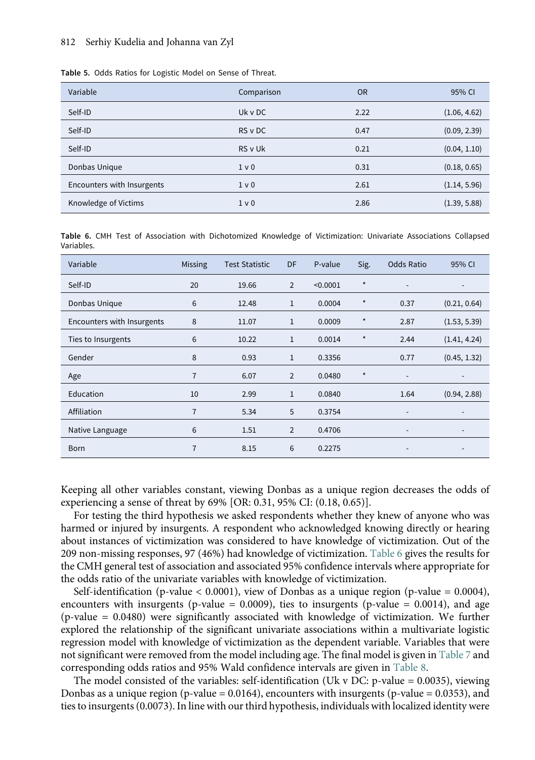#### <span id="page-11-0"></span>812 Serhiy Kudelia and Johanna van Zyl

| Variable                   | Comparison     | <b>OR</b> | 95% CI       |
|----------------------------|----------------|-----------|--------------|
| Self-ID                    | Uk v DC        | 2.22      | (1.06, 4.62) |
| Self-ID                    | RS v DC        | 0.47      | (0.09, 2.39) |
| Self-ID                    | RS v Uk        | 0.21      | (0.04, 1.10) |
| Donbas Unique              | 1 <sub>v</sub> | 0.31      | (0.18, 0.65) |
| Encounters with Insurgents | 1 <sub>v</sub> | 2.61      | (1.14, 5.96) |
| Knowledge of Victims       | 1 <sub>v</sub> | 2.86      | (1.39, 5.88) |

Table 5. Odds Ratios for Logistic Model on Sense of Threat.

Table 6. CMH Test of Association with Dichotomized Knowledge of Victimization: Univariate Associations Collapsed Variables.

| Variable                   | Missing        | <b>Test Statistic</b> | DF             | P-value  | Sig.    | <b>Odds Ratio</b>        | 95% CI                   |
|----------------------------|----------------|-----------------------|----------------|----------|---------|--------------------------|--------------------------|
| Self-ID                    | 20             | 19.66                 | $\overline{2}$ | < 0.0001 | $\star$ | $\overline{\phantom{a}}$ | ٠                        |
| Donbas Unique              | 6              | 12.48                 | $\mathbf{1}$   | 0.0004   | $\star$ | 0.37                     | (0.21, 0.64)             |
| Encounters with Insurgents | 8              | 11.07                 | $\mathbf{1}$   | 0.0009   | $\star$ | 2.87                     | (1.53, 5.39)             |
| Ties to Insurgents         | 6              | 10.22                 | $\mathbf{1}$   | 0.0014   | $\star$ | 2.44                     | (1.41, 4.24)             |
| Gender                     | 8              | 0.93                  | $\mathbf{1}$   | 0.3356   |         | 0.77                     | (0.45, 1.32)             |
| Age                        | $\overline{7}$ | 6.07                  | $\overline{2}$ | 0.0480   | $\star$ |                          |                          |
| Education                  | 10             | 2.99                  | $\mathbf{1}$   | 0.0840   |         | 1.64                     | (0.94, 2.88)             |
| Affiliation                | $\overline{7}$ | 5.34                  | 5              | 0.3754   |         | $\overline{\phantom{a}}$ | $\overline{\phantom{a}}$ |
| Native Language            | 6              | 1.51                  | $\overline{2}$ | 0.4706   |         |                          |                          |
| <b>Born</b>                | 7              | 8.15                  | 6              | 0.2275   |         |                          |                          |

Keeping all other variables constant, viewing Donbas as a unique region decreases the odds of experiencing a sense of threat by 69% [OR: 0.31, 95% CI: (0.18, 0.65)].

For testing the third hypothesis we asked respondents whether they knew of anyone who was harmed or injured by insurgents. A respondent who acknowledged knowing directly or hearing about instances of victimization was considered to have knowledge of victimization. Out of the 209 non-missing responses, 97 (46%) had knowledge of victimization. Table 6 gives the results for the CMH general test of association and associated 95% confidence intervals where appropriate for the odds ratio of the univariate variables with knowledge of victimization.

Self-identification (p-value  $< 0.0001$ ), view of Donbas as a unique region (p-value = 0.0004), encounters with insurgents (p-value =  $0.0009$ ), ties to insurgents (p-value =  $0.0014$ ), and age (p-value = 0.0480) were significantly associated with knowledge of victimization. We further explored the relationship of the significant univariate associations within a multivariate logistic regression model with knowledge of victimization as the dependent variable. Variables that were not significant were removed from the model including age. The final model is given in [Table 7](#page-12-0) and corresponding odds ratios and 95% Wald confidence intervals are given in [Table 8.](#page-12-0)

The model consisted of the variables: self-identification (Uk v DC: p-value = 0.0035), viewing Donbas as a unique region (p-value =  $0.0164$ ), encounters with insurgents (p-value =  $0.0353$ ), and ties to insurgents (0.0073). In line with our third hypothesis, individuals with localized identity were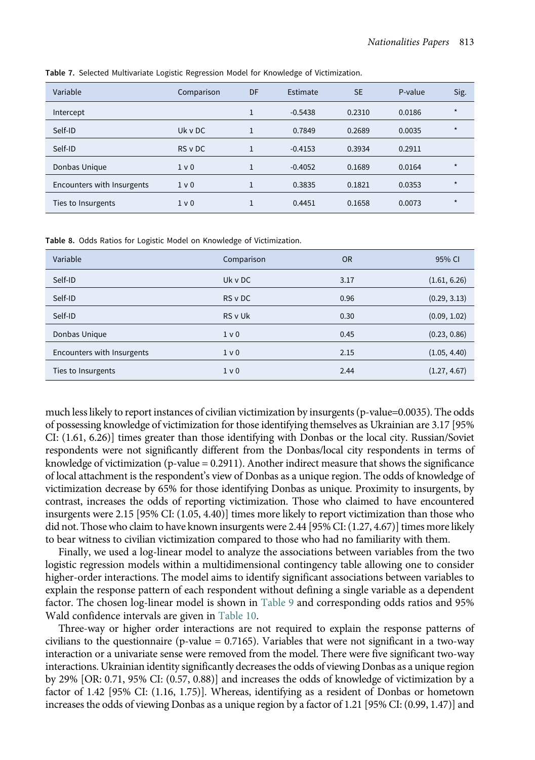| Variable                   | Comparison     | DF | Estimate  | <b>SE</b> | P-value | Sig.    |
|----------------------------|----------------|----|-----------|-----------|---------|---------|
| Intercept                  |                | 1  | $-0.5438$ | 0.2310    | 0.0186  | $\star$ |
| Self-ID                    | Uk v DC        | 1  | 0.7849    | 0.2689    | 0.0035  | $\star$ |
| Self-ID                    | RS v DC        | 1  | $-0.4153$ | 0.3934    | 0.2911  |         |
| Donbas Unique              | 1 <sub>v</sub> |    | $-0.4052$ | 0.1689    | 0.0164  | $\star$ |
| Encounters with Insurgents | 1 <sub>v</sub> |    | 0.3835    | 0.1821    | 0.0353  | $\star$ |
| Ties to Insurgents         | 1 <sub>v</sub> |    | 0.4451    | 0.1658    | 0.0073  | $\star$ |

<span id="page-12-0"></span>Table 7. Selected Multivariate Logistic Regression Model for Knowledge of Victimization.

Table 8. Odds Ratios for Logistic Model on Knowledge of Victimization.

| Variable                   | Comparison     | <b>OR</b> | 95% CI       |
|----------------------------|----------------|-----------|--------------|
| Self-ID                    | Uk v DC        | 3.17      | (1.61, 6.26) |
| Self-ID                    | RS v DC        | 0.96      | (0.29, 3.13) |
| Self-ID                    | RS v Uk        | 0.30      | (0.09, 1.02) |
| Donbas Unique              | 1 <sub>v</sub> | 0.45      | (0.23, 0.86) |
| Encounters with Insurgents | 1 <sub>v</sub> | 2.15      | (1.05, 4.40) |
| Ties to Insurgents         | 1 <sub>v</sub> | 2.44      | (1.27, 4.67) |

much less likely to report instances of civilian victimization by insurgents (p-value=0.0035). The odds of possessing knowledge of victimization for those identifying themselves as Ukrainian are 3.17 [95% CI: (1.61, 6.26)] times greater than those identifying with Donbas or the local city. Russian/Soviet respondents were not significantly different from the Donbas/local city respondents in terms of knowledge of victimization (p-value  $= 0.2911$ ). Another indirect measure that shows the significance of local attachment is the respondent's view of Donbas as a unique region. The odds of knowledge of victimization decrease by 65% for those identifying Donbas as unique. Proximity to insurgents, by contrast, increases the odds of reporting victimization. Those who claimed to have encountered insurgents were 2.15 [95% CI: (1.05, 4.40)] times more likely to report victimization than those who did not. Those who claim to have known insurgents were 2.44 [95% CI: (1.27, 4.67)] times more likely to bear witness to civilian victimization compared to those who had no familiarity with them.

Finally, we used a log-linear model to analyze the associations between variables from the two logistic regression models within a multidimensional contingency table allowing one to consider higher-order interactions. The model aims to identify significant associations between variables to explain the response pattern of each respondent without defining a single variable as a dependent factor. The chosen log-linear model is shown in [Table 9](#page-13-0) and corresponding odds ratios and 95% Wald confidence intervals are given in [Table 10](#page-13-0).

Three-way or higher order interactions are not required to explain the response patterns of civilians to the questionnaire (p-value  $= 0.7165$ ). Variables that were not significant in a two-way interaction or a univariate sense were removed from the model. There were five significant two-way interactions. Ukrainian identity significantly decreases the odds of viewing Donbas as a unique region by 29% [OR: 0.71, 95% CI: (0.57, 0.88)] and increases the odds of knowledge of victimization by a factor of 1.42 [95% CI: (1.16, 1.75)]. Whereas, identifying as a resident of Donbas or hometown increases the odds of viewing Donbas as a unique region by a factor of 1.21 [95% CI: (0.99, 1.47)] and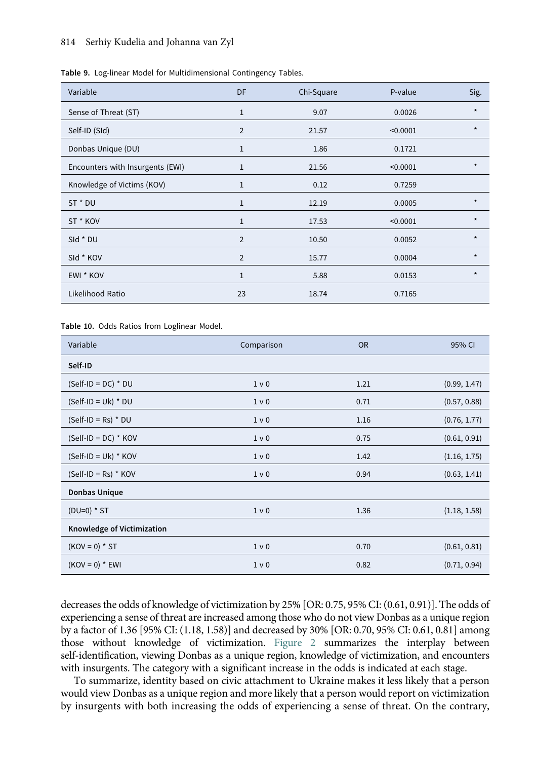#### <span id="page-13-0"></span>814 Serhiy Kudelia and Johanna van Zyl

| Variable                         | <b>DF</b>      | Chi-Square | P-value  | Sig.    |
|----------------------------------|----------------|------------|----------|---------|
| Sense of Threat (ST)             | $\mathbf{1}$   | 9.07       | 0.0026   | $\star$ |
| Self-ID (SId)                    | $\overline{2}$ | 21.57      | < 0.0001 | $\star$ |
| Donbas Unique (DU)               | $\mathbf{1}$   | 1.86       | 0.1721   |         |
| Encounters with Insurgents (EWI) | 1              | 21.56      | < 0.0001 | $\star$ |
| Knowledge of Victims (KOV)       | 1              | 0.12       | 0.7259   |         |
| ST <sup>*</sup> DU               | $\mathbf{1}$   | 12.19      | 0.0005   | $\star$ |
| ST * KOV                         | 1              | 17.53      | < 0.0001 | $\star$ |
| SId * DU                         | $\overline{2}$ | 10.50      | 0.0052   | $\star$ |
| SId * KOV                        | $\overline{2}$ | 15.77      | 0.0004   | $\star$ |
| EWI * KOV                        | $\mathbf{1}$   | 5.88       | 0.0153   | $\star$ |
| Likelihood Ratio                 | 23             | 18.74      | 0.7165   |         |

Table 9. Log-linear Model for Multidimensional Contingency Tables.

Table 10. Odds Ratios from Loglinear Model.

| Variable                   | Comparison     | <b>OR</b> | 95% CI       |
|----------------------------|----------------|-----------|--------------|
| Self-ID                    |                |           |              |
| $(Self-ID = DC) * DU$      | 1 <sub>v</sub> | 1.21      | (0.99, 1.47) |
| $(Self-ID = Uk) * DU$      | 1 <sub>v</sub> | 0.71      | (0.57, 0.88) |
| $(Self-ID = Rs) * DU$      | 1 <sub>v</sub> | 1.16      | (0.76, 1.77) |
| $(Self-ID = DC) * KOV$     | 1 <sub>v</sub> | 0.75      | (0.61, 0.91) |
| $(Self-ID = UK) * KOV$     | 1 <sub>v</sub> | 1.42      | (1.16, 1.75) |
| $(Self-ID = Rs) * KOV$     | 1 <sub>v</sub> | 0.94      | (0.63, 1.41) |
| Donbas Unique              |                |           |              |
| $(DU=0)$ * ST              | 1 <sub>v</sub> | 1.36      | (1.18, 1.58) |
| Knowledge of Victimization |                |           |              |
| $(KOV = 0) * ST$           | 1 <sub>v</sub> | 0.70      | (0.61, 0.81) |
| $(KOV = 0) * EWI$          | 1 <sub>v</sub> | 0.82      | (0.71, 0.94) |

decreases the odds of knowledge of victimization by 25% [OR: 0.75, 95% CI: (0.61, 0.91)]. The odds of experiencing a sense of threat are increased among those who do not view Donbas as a unique region by a factor of 1.36 [95% CI: (1.18, 1.58)] and decreased by 30% [OR: 0.70, 95% CI: 0.61, 0.81] among those without knowledge of victimization. [Figure 2](#page-14-0) summarizes the interplay between self-identification, viewing Donbas as a unique region, knowledge of victimization, and encounters with insurgents. The category with a significant increase in the odds is indicated at each stage.

To summarize, identity based on civic attachment to Ukraine makes it less likely that a person would view Donbas as a unique region and more likely that a person would report on victimization by insurgents with both increasing the odds of experiencing a sense of threat. On the contrary,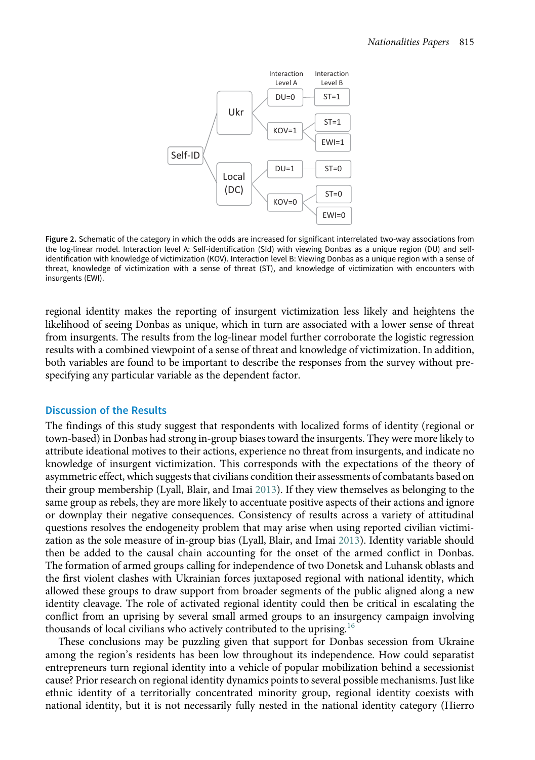<span id="page-14-0"></span>

Figure 2. Schematic of the category in which the odds are increased for significant interrelated two-way associations from the log-linear model. Interaction level A: Self-identification (SId) with viewing Donbas as a unique region (DU) and selfidentification with knowledge of victimization (KOV). Interaction level B: Viewing Donbas as a unique region with a sense of threat, knowledge of victimization with a sense of threat (ST), and knowledge of victimization with encounters with insurgents (EWI).

regional identity makes the reporting of insurgent victimization less likely and heightens the likelihood of seeing Donbas as unique, which in turn are associated with a lower sense of threat from insurgents. The results from the log-linear model further corroborate the logistic regression results with a combined viewpoint of a sense of threat and knowledge of victimization. In addition, both variables are found to be important to describe the responses from the survey without prespecifying any particular variable as the dependent factor.

## Discussion of the Results

The findings of this study suggest that respondents with localized forms of identity (regional or town-based) in Donbas had strong in-group biases toward the insurgents. They were more likely to attribute ideational motives to their actions, experience no threat from insurgents, and indicate no knowledge of insurgent victimization. This corresponds with the expectations of the theory of asymmetric effect, which suggests that civilians condition their assessments of combatants based on their group membership (Lyall, Blair, and Imai [2013](#page-19-0)). If they view themselves as belonging to the same group as rebels, they are more likely to accentuate positive aspects of their actions and ignore or downplay their negative consequences. Consistency of results across a variety of attitudinal questions resolves the endogeneity problem that may arise when using reported civilian victimization as the sole measure of in-group bias (Lyall, Blair, and Imai [2013\)](#page-19-0). Identity variable should then be added to the causal chain accounting for the onset of the armed conflict in Donbas. The formation of armed groups calling for independence of two Donetsk and Luhansk oblasts and the first violent clashes with Ukrainian forces juxtaposed regional with national identity, which allowed these groups to draw support from broader segments of the public aligned along a new identity cleavage. The role of activated regional identity could then be critical in escalating the conflict from an uprising by several small armed groups to an insurgency campaign involving thousands of local civilians who actively contributed to the uprising.<sup>[16](#page-18-0)</sup>

These conclusions may be puzzling given that support for Donbas secession from Ukraine among the region's residents has been low throughout its independence. How could separatist entrepreneurs turn regional identity into a vehicle of popular mobilization behind a secessionist cause? Prior research on regional identity dynamics points to several possible mechanisms. Just like ethnic identity of a territorially concentrated minority group, regional identity coexists with national identity, but it is not necessarily fully nested in the national identity category (Hierro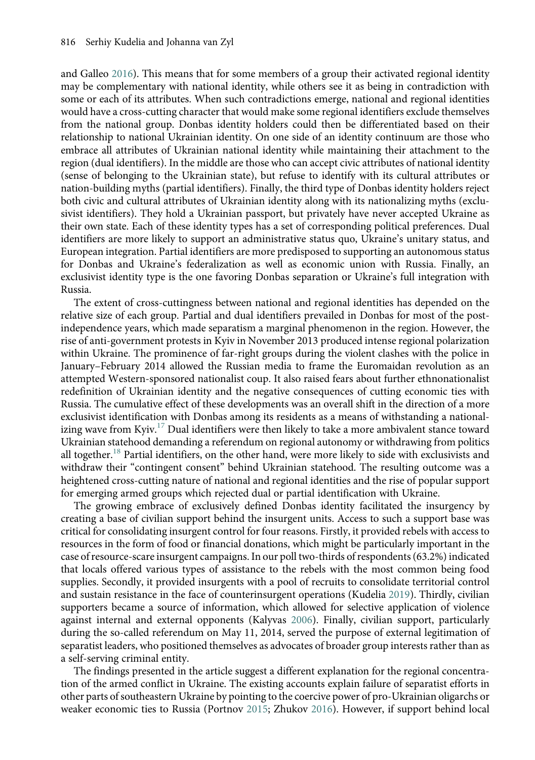and Galleo [2016\)](#page-19-0). This means that for some members of a group their activated regional identity may be complementary with national identity, while others see it as being in contradiction with some or each of its attributes. When such contradictions emerge, national and regional identities would have a cross-cutting character that would make some regional identifiers exclude themselves from the national group. Donbas identity holders could then be differentiated based on their relationship to national Ukrainian identity. On one side of an identity continuum are those who embrace all attributes of Ukrainian national identity while maintaining their attachment to the region (dual identifiers). In the middle are those who can accept civic attributes of national identity (sense of belonging to the Ukrainian state), but refuse to identify with its cultural attributes or nation-building myths (partial identifiers). Finally, the third type of Donbas identity holders reject both civic and cultural attributes of Ukrainian identity along with its nationalizing myths (exclusivist identifiers). They hold a Ukrainian passport, but privately have never accepted Ukraine as their own state. Each of these identity types has a set of corresponding political preferences. Dual identifiers are more likely to support an administrative status quo, Ukraine's unitary status, and European integration. Partial identifiers are more predisposed to supporting an autonomous status for Donbas and Ukraine's federalization as well as economic union with Russia. Finally, an exclusivist identity type is the one favoring Donbas separation or Ukraine's full integration with Russia.

The extent of cross-cuttingness between national and regional identities has depended on the relative size of each group. Partial and dual identifiers prevailed in Donbas for most of the postindependence years, which made separatism a marginal phenomenon in the region. However, the rise of anti-government protests in Kyiv in November 2013 produced intense regional polarization within Ukraine. The prominence of far-right groups during the violent clashes with the police in January–February 2014 allowed the Russian media to frame the Euromaidan revolution as an attempted Western-sponsored nationalist coup. It also raised fears about further ethnonationalist redefinition of Ukrainian identity and the negative consequences of cutting economic ties with Russia. The cumulative effect of these developments was an overall shift in the direction of a more exclusivist identification with Donbas among its residents as a means of withstanding a national-izing wave from Kyiv.<sup>[17](#page-18-0)</sup> Dual identifiers were then likely to take a more ambivalent stance toward Ukrainian statehood demanding a referendum on regional autonomy or withdrawing from politics all together.<sup>[18](#page-18-0)</sup> Partial identifiers, on the other hand, were more likely to side with exclusivists and withdraw their "contingent consent" behind Ukrainian statehood. The resulting outcome was a heightened cross-cutting nature of national and regional identities and the rise of popular support for emerging armed groups which rejected dual or partial identification with Ukraine.

The growing embrace of exclusively defined Donbas identity facilitated the insurgency by creating a base of civilian support behind the insurgent units. Access to such a support base was critical for consolidating insurgent control for four reasons. Firstly, it provided rebels with access to resources in the form of food or financial donations, which might be particularly important in the case of resource-scare insurgent campaigns. In our poll two-thirds of respondents (63.2%) indicated that locals offered various types of assistance to the rebels with the most common being food supplies. Secondly, it provided insurgents with a pool of recruits to consolidate territorial control and sustain resistance in the face of counterinsurgent operations (Kudelia [2019](#page-19-0)). Thirdly, civilian supporters became a source of information, which allowed for selective application of violence against internal and external opponents (Kalyvas [2006](#page-19-0)). Finally, civilian support, particularly during the so-called referendum on May 11, 2014, served the purpose of external legitimation of separatist leaders, who positioned themselves as advocates of broader group interests rather than as a self-serving criminal entity.

The findings presented in the article suggest a different explanation for the regional concentration of the armed conflict in Ukraine. The existing accounts explain failure of separatist efforts in other parts of southeastern Ukraine by pointing to the coercive power of pro-Ukrainian oligarchs or weaker economic ties to Russia (Portnov [2015;](#page-20-0) Zhukov [2016\)](#page-20-0). However, if support behind local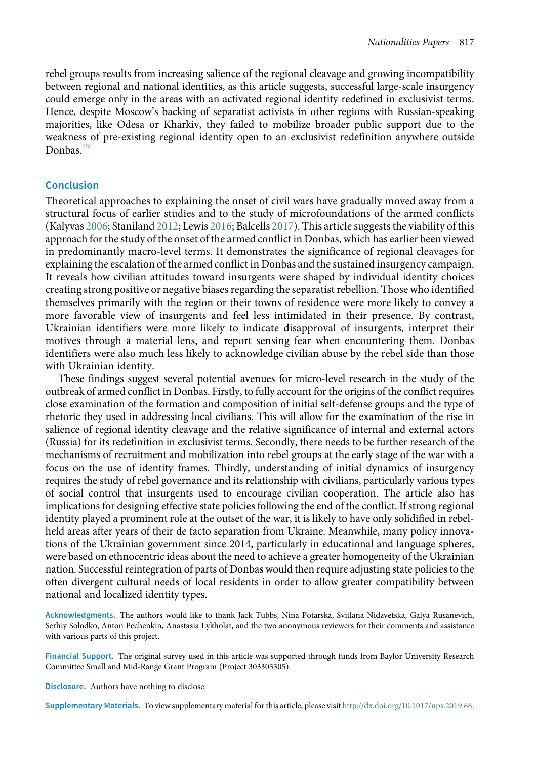rebel groups results from increasing salience of the regional cleavage and growing incompatibility between regional and national identities, as this article suggests, successful large-scale insurgency could emerge only in the areas with an activated regional identity redefined in exclusivist terms. Hence, despite Moscow's backing of separatist activists in other regions with Russian-speaking majorities, like Odesa or Kharkiv, they failed to mobilize broader public support due to the weakness of pre-existing regional identity open to an exclusivist redefinition anywhere outside Donbas. $19$ 

## Conclusion

Theoretical approaches to explaining the onset of civil wars have gradually moved away from a structural focus of earlier studies and to the study of microfoundations of the armed conflicts (Kalyvas [2006](#page-19-0); Staniland [2012](#page-20-0); Lewis [2016;](#page-19-0) Balcells [2017\)](#page-18-0). This article suggests the viability of this approach for the study of the onset of the armed conflict in Donbas, which has earlier been viewed in predominantly macro-level terms. It demonstrates the significance of regional cleavages for explaining the escalation of the armed conflict in Donbas and the sustained insurgency campaign. It reveals how civilian attitudes toward insurgents were shaped by individual identity choices creating strong positive or negative biases regarding the separatist rebellion. Those who identified themselves primarily with the region or their towns of residence were more likely to convey a more favorable view of insurgents and feel less intimidated in their presence. By contrast, Ukrainian identifiers were more likely to indicate disapproval of insurgents, interpret their motives through a material lens, and report sensing fear when encountering them. Donbas identifiers were also much less likely to acknowledge civilian abuse by the rebel side than those with Ukrainian identity.

These findings suggest several potential avenues for micro-level research in the study of the outbreak of armed conflict in Donbas. Firstly, to fully account for the origins of the conflict requires close examination of the formation and composition of initial self-defense groups and the type of rhetoric they used in addressing local civilians. This will allow for the examination of the rise in salience of regional identity cleavage and the relative significance of internal and external actors (Russia) for its redefinition in exclusivist terms. Secondly, there needs to be further research of the mechanisms of recruitment and mobilization into rebel groups at the early stage of the war with a focus on the use of identity frames. Thirdly, understanding of initial dynamics of insurgency requires the study of rebel governance and its relationship with civilians, particularly various types of social control that insurgents used to encourage civilian cooperation. The article also has implications for designing effective state policies following the end of the conflict. If strong regional identity played a prominent role at the outset of the war, it is likely to have only solidified in rebelheld areas after years of their de facto separation from Ukraine. Meanwhile, many policy innovations of the Ukrainian government since 2014, particularly in educational and language spheres, were based on ethnocentric ideas about the need to achieve a greater homogeneity of the Ukrainian nation. Successful reintegration of parts of Donbas would then require adjusting state policies to the often divergent cultural needs of local residents in order to allow greater compatibility between national and localized identity types.

Acknowledgments. The authors would like to thank Jack Tubbs, Nina Potarska, Svitlana Nidzvetska, Galya Rusanevich, Serhiy Solodko, Anton Pechenkin, Anastasia Lykholat, and the two anonymous reviewers for their comments and assistance with various parts of this project.

Financial Support. The original survey used in this article was supported through funds from Baylor University Research Committee Small and Mid-Range Grant Program (Project 303303305).

Disclosure. Authors have nothing to disclose.

Supplementary Materials. To view supplementary material for this article, please visit [http://dx.doi.org/10.1017/nps.2019.68.](http://dx.doi.org/10.1017/nps.2019.68)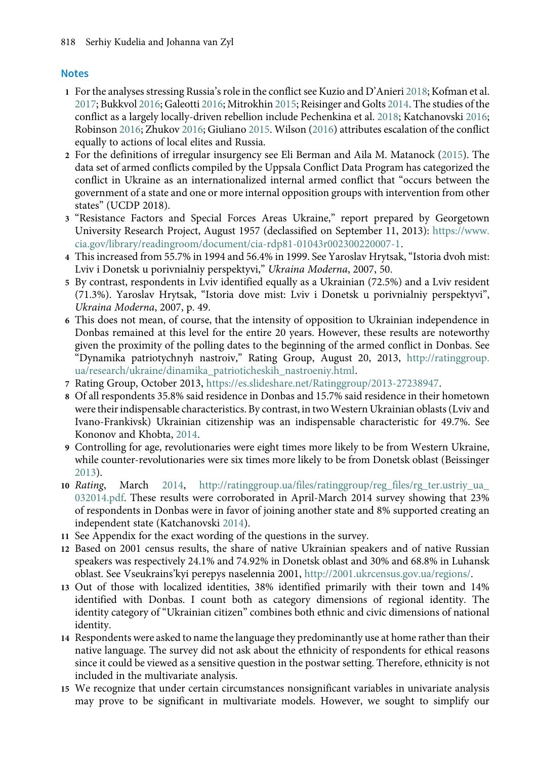## <span id="page-17-0"></span>**Notes**

- 1 For the analyses stressing Russia's role in the conflict see Kuzio and D'Anieri [2018;](#page-19-0) Kofman et al. [2017;](#page-19-0) Bukkvol [2016;](#page-18-0) Galeotti [2016;](#page-18-0) Mitrokhin [2015](#page-19-0); Reisinger and Golts [2014](#page-20-0). The studies of the conflict as a largely locally-driven rebellion include Pechenkina et al. [2018](#page-19-0); Katchanovski [2016](#page-19-0); Robinson [2016;](#page-20-0) Zhukov [2016](#page-20-0); Giuliano [2015.](#page-18-0) Wilson [\(2016\)](#page-20-0) attributes escalation of the conflict equally to actions of local elites and Russia.
- 2 For the definitions of irregular insurgency see Eli Berman and Aila M. Matanock [\(2015\)](#page-18-0). The data set of armed conflicts compiled by the Uppsala Conflict Data Program has categorized the conflict in Ukraine as an internationalized internal armed conflict that "occurs between the government of a state and one or more internal opposition groups with intervention from other states" (UCDP 2018).
- 3 "Resistance Factors and Special Forces Areas Ukraine," report prepared by Georgetown University Research Project, August 1957 (declassified on September 11, 2013): [https://www.](https://www.cia.gov/library/readingroom/document/cia-rdp81-01043r002300220007-1) [cia.gov/library/readingroom/document/cia-rdp81-01043r002300220007-1](https://www.cia.gov/library/readingroom/document/cia-rdp81-01043r002300220007-1).
- 4 This increased from 55.7% in 1994 and 56.4% in 1999. See Yaroslav Hrytsak,"Istoria dvoh mist: Lviv i Donetsk u porivnialniy perspektyvi," Ukraina Moderna, 2007, 50.
- 5 By contrast, respondents in Lviv identified equally as a Ukrainian (72.5%) and a Lviv resident (71.3%). Yaroslav Hrytsak, "Istoria dove mist: Lviv i Donetsk u porivnialniy perspektyvi", Ukraina Moderna, 2007, p. 49.
- 6 This does not mean, of course, that the intensity of opposition to Ukrainian independence in Donbas remained at this level for the entire 20 years. However, these results are noteworthy given the proximity of the polling dates to the beginning of the armed conflict in Donbas. See "Dynamika patriotychnyh nastroiv," Rating Group, August 20, 2013, [http://ratinggroup.](http://ratinggroup.ua/research/ukraine/dinamika_patrioticheskih_nastroeniy.html) [ua/research/ukraine/dinamika\\_patrioticheskih\\_nastroeniy.html](http://ratinggroup.ua/research/ukraine/dinamika_patrioticheskih_nastroeniy.html).
- 7 Rating Group, October 2013, [https://es.slideshare.net/Ratinggroup/2013-27238947.](https://es.slideshare.net/Ratinggroup/2013-27238947)
- 8 Of all respondents 35.8% said residence in Donbas and 15.7% said residence in their hometown were their indispensable characteristics. By contrast, in two Western Ukrainian oblasts (Lviv and Ivano-Frankivsk) Ukrainian citizenship was an indispensable characteristic for 49.7%. See Kononov and Khobta, [2014](#page-19-0).
- 9 Controlling for age, revolutionaries were eight times more likely to be from Western Ukraine, while counter-revolutionaries were six times more likely to be from Donetsk oblast (Beissinger [2013\)](#page-18-0).
- 10 Rating, March [2014](#page-20-0), [http://ratinggroup.ua/files/ratinggroup/reg\\_files/rg\\_ter.ustriy\\_ua\\_](http://ratinggroup.ua/files/ratinggroup/reg_files/rg_ter.ustriy_ua_032014.pdf) [032014.pdf](http://ratinggroup.ua/files/ratinggroup/reg_files/rg_ter.ustriy_ua_032014.pdf). These results were corroborated in April-March 2014 survey showing that 23% of respondents in Donbas were in favor of joining another state and 8% supported creating an independent state (Katchanovski [2014](#page-19-0)).
- 11 See Appendix for the exact wording of the questions in the survey.
- 12 Based on 2001 census results, the share of native Ukrainian speakers and of native Russian speakers was respectively 24.1% and 74.92% in Donetsk oblast and 30% and 68.8% in Luhansk oblast. See Vseukrains'kyi perepys naselennia 2001, <http://2001.ukrcensus.gov.ua/regions/>.
- 13 Out of those with localized identities, 38% identified primarily with their town and 14% identified with Donbas. I count both as category dimensions of regional identity. The identity category of "Ukrainian citizen" combines both ethnic and civic dimensions of national identity.
- 14 Respondents were asked to name the language they predominantly use at home rather than their native language. The survey did not ask about the ethnicity of respondents for ethical reasons since it could be viewed as a sensitive question in the postwar setting. Therefore, ethnicity is not included in the multivariate analysis.
- 15 We recognize that under certain circumstances nonsignificant variables in univariate analysis may prove to be significant in multivariate models. However, we sought to simplify our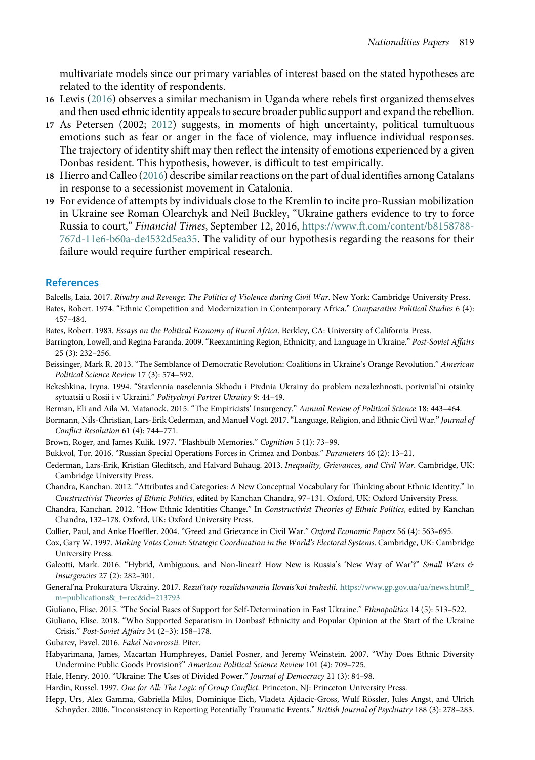<span id="page-18-0"></span>multivariate models since our primary variables of interest based on the stated hypotheses are related to the identity of respondents.

- 16 Lewis ([2016](#page-19-0)) observes a similar mechanism in Uganda where rebels first organized themselves and then used ethnic identity appeals to secure broader public support and expand the rebellion.
- 17 As Petersen (2002; [2012](#page-20-0)) suggests, in moments of high uncertainty, political tumultuous emotions such as fear or anger in the face of violence, may influence individual responses. The trajectory of identity shift may then reflect the intensity of emotions experienced by a given Donbas resident. This hypothesis, however, is difficult to test empirically.
- 18 Hierro and Calleo ([2016](#page-19-0)) describe similar reactions on the part of dual identifies among Catalans in response to a secessionist movement in Catalonia.
- 19 For evidence of attempts by individuals close to the Kremlin to incite pro-Russian mobilization in Ukraine see Roman Olearchyk and Neil Buckley, "Ukraine gathers evidence to try to force Russia to court," Financial Times, September 12, 2016, [https://www.ft.com/content/b8158788-](https://www.ft.com/content/b8158788-767d-11e6-b60a-de4532d5ea35) [767d-11e6-b60a-de4532d5ea35.](https://www.ft.com/content/b8158788-767d-11e6-b60a-de4532d5ea35) The validity of our hypothesis regarding the reasons for their failure would require further empirical research.

## References

Balcells, Laia. 2017. Rivalry and Revenge: The Politics of Violence during Civil War. New York: Cambridge University Press.

- Bates, Robert. 1974. "Ethnic Competition and Modernization in Contemporary Africa." Comparative Political Studies 6 (4): 457–484.
- Bates, Robert. 1983. Essays on the Political Economy of Rural Africa. Berkley, CA: University of California Press.
- Barrington, Lowell, and Regina Faranda. 2009. "Reexamining Region, Ethnicity, and Language in Ukraine." Post-Soviet Affairs 25 (3): 232–256.
- Beissinger, Mark R. 2013. "The Semblance of Democratic Revolution: Coalitions in Ukraine's Orange Revolution." American Political Science Review 17 (3): 574–592.
- Bekeshkina, Iryna. 1994. "Stavlennia naselennia Skhodu i Pivdnia Ukrainy do problem nezalezhnosti, porivnial'ni otsinky sytuatsii u Rosii i v Ukraini." Politychnyi Portret Ukrainy 9: 44–49.
- Berman, Eli and Aila M. Matanock. 2015. "The Empiricists' Insurgency." Annual Review of Political Science 18: 443–464.

Bormann, Nils-Christian, Lars-Erik Cederman, and Manuel Vogt. 2017."Language, Religion, and Ethnic Civil War."Journal of Conflict Resolution 61 (4): 744–771.

Brown, Roger, and James Kulik. 1977. "Flashbulb Memories." Cognition 5 (1): 73–99.

- Bukkvol, Tor. 2016. "Russian Special Operations Forces in Crimea and Donbas." Parameters 46 (2): 13–21.
- Cederman, Lars-Erik, Kristian Gleditsch, and Halvard Buhaug. 2013. Inequality, Grievances, and Civil War. Cambridge, UK: Cambridge University Press.
- Chandra, Kanchan. 2012. "Attributes and Categories: A New Conceptual Vocabulary for Thinking about Ethnic Identity." In Constructivist Theories of Ethnic Politics, edited by Kanchan Chandra, 97–131. Oxford, UK: Oxford University Press.
- Chandra, Kanchan. 2012. "How Ethnic Identities Change." In Constructivist Theories of Ethnic Politics, edited by Kanchan Chandra, 132–178. Oxford, UK: Oxford University Press.

Collier, Paul, and Anke Hoeffler. 2004. "Greed and Grievance in Civil War." Oxford Economic Papers 56 (4): 563–695.

- Cox, Gary W. 1997. Making Votes Count: Strategic Coordination in the World's Electoral Systems. Cambridge, UK: Cambridge University Press.
- Galeotti, Mark. 2016. "Hybrid, Ambiguous, and Non-linear? How New is Russia's 'New Way of War'?" Small Wars & Insurgencies 27 (2): 282–301.
- General'na Prokuratura Ukrainy. 2017. Rezul'taty rozsliduvannia Ilovais'koi trahedii. [https://www.gp.gov.ua/ua/news.html?\\_](https://www.gp.gov.ua/ua/news.html?_m=publications_t=recid=213793) [m=publications&\\_t=rec&id=213793](https://www.gp.gov.ua/ua/news.html?_m=publications_t=recid=213793)
- Giuliano, Elise. 2015. "The Social Bases of Support for Self-Determination in East Ukraine." Ethnopolitics 14 (5): 513–522.
- Giuliano, Elise. 2018. "Who Supported Separatism in Donbas? Ethnicity and Popular Opinion at the Start of the Ukraine Crisis." Post-Soviet Affairs 34 (2–3): 158–178.
- Gubarev, Pavel. 2016. Fakel Novorossii. Piter.
- Habyarimana, James, Macartan Humphreyes, Daniel Posner, and Jeremy Weinstein. 2007. "Why Does Ethnic Diversity Undermine Public Goods Provision?" American Political Science Review 101 (4): 709–725.
- Hale, Henry. 2010. "Ukraine: The Uses of Divided Power." Journal of Democracy 21 (3): 84–98.
- Hardin, Russel. 1997. One for All: The Logic of Group Conflict. Princeton, NJ: Princeton University Press.
- Hepp, Urs, Alex Gamma, Gabriella Milos, Dominique Eich, Vladeta Ajdacic-Gross, Wulf Rössler, Jules Angst, and Ulrich Schnyder. 2006. "Inconsistency in Reporting Potentially Traumatic Events." British Journal of Psychiatry 188 (3): 278–283.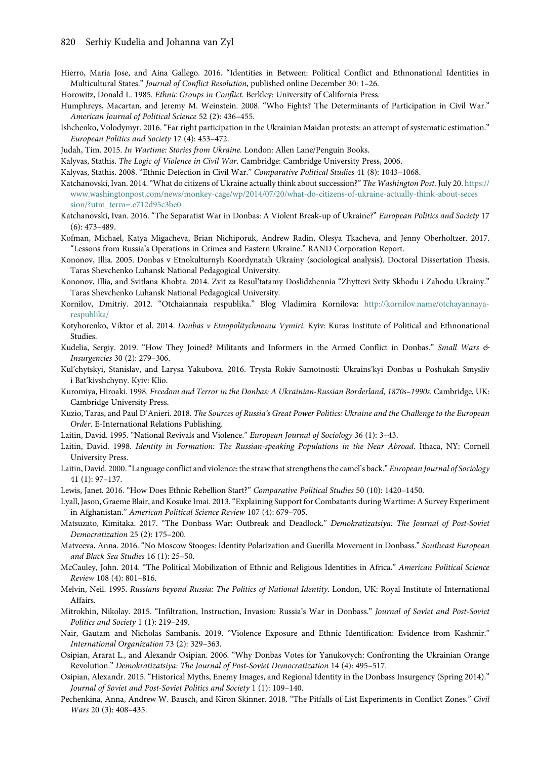<span id="page-19-0"></span>Hierro, Maria Jose, and Aina Gallego. 2016. "Identities in Between: Political Conflict and Ethnonational Identities in Multicultural States." Journal of Conflict Resolution, published online December 30: 1–26.

Horowitz, Donald L. 1985. Ethnic Groups in Conflict. Berkley: University of California Press.

- Humphreys, Macartan, and Jeremy M. Weinstein. 2008. "Who Fights? The Determinants of Participation in Civil War." American Journal of Political Science 52 (2): 436–455.
- Ishchenko, Volodymyr. 2016. "Far right participation in the Ukrainian Maidan protests: an attempt of systematic estimation." European Politics and Society 17 (4): 453–472.
- Judah, Tim. 2015. In Wartime: Stories from Ukraine. London: Allen Lane/Penguin Books.

Kalyvas, Stathis. The Logic of Violence in Civil War. Cambridge: Cambridge University Press, 2006.

Kalyvas, Stathis. 2008. "Ethnic Defection in Civil War." Comparative Political Studies 41 (8): 1043–1068.

- Katchanovski, Ivan. 2014. "What do citizens of Ukraine actually think about succession?" The Washington Post. July 20. [https://](https://www.washingtonpost.com/news/monkey-cage/wp/2014/07/20/what-do-citizens-of-ukraine-actually-think-about-secession/?utm_term=.e712d95c3be0) [www.washingtonpost.com/news/monkey-cage/wp/2014/07/20/what-do-citizens-of-ukraine-actually-think-about-seces](https://www.washingtonpost.com/news/monkey-cage/wp/2014/07/20/what-do-citizens-of-ukraine-actually-think-about-secession/?utm_term=.e712d95c3be0) [sion/?utm\\_term=.e712d95c3be0](https://www.washingtonpost.com/news/monkey-cage/wp/2014/07/20/what-do-citizens-of-ukraine-actually-think-about-secession/?utm_term=.e712d95c3be0)
- Katchanovski, Ivan. 2016. "The Separatist War in Donbas: A Violent Break-up of Ukraine?" European Politics and Society 17 (6): 473–489.
- Kofman, Michael, Katya Migacheva, Brian Nichiporuk, Andrew Radin, Olesya Tkacheva, and Jenny Oberholtzer. 2017. "Lessons from Russia's Operations in Crimea and Eastern Ukraine." RAND Corporation Report.
- Kononov, Illia. 2005. Donbas v Etnokulturnyh Koordynatah Ukrainy (sociological analysis). Doctoral Dissertation Thesis. Taras Shevchenko Luhansk National Pedagogical University.
- Kononov, Illia, and Svitlana Khobta. 2014. Zvit za Resul'tatamy Doslidzhennia "Zhyttevi Svity Skhodu i Zahodu Ukrainy." Taras Shevchenko Luhansk National Pedagogical University.
- Kornilov, Dmitriy. 2012. "Otchaiannaia respublika." Blog Vladimira Kornilova: [http://kornilov.name/otchayannaya](http://kornilov.name/otchayannaya-respublika/)[respublika/](http://kornilov.name/otchayannaya-respublika/)
- Kotyhorenko, Viktor et al. 2014. Donbas v Etnopolitychnomu Vymiri. Kyiv: Kuras Institute of Political and Ethnonational Studies.
- Kudelia, Sergiy. 2019. "How They Joined? Militants and Informers in the Armed Conflict in Donbas." Small Wars & Insurgencies 30 (2): 279–306.
- Kul'chytskyi, Stanislav, and Larysa Yakubova. 2016. Trysta Rokiv Samotnosti: Ukrains'kyi Donbas u Poshukah Smysliv i Bat'kivshchyny. Kyiv: Klio.
- Kuromiya, Hiroaki. 1998. Freedom and Terror in the Donbas: A Ukrainian-Russian Borderland, 1870s–1990s. Cambridge, UK: Cambridge University Press.
- Kuzio, Taras, and Paul D'Anieri. 2018. The Sources of Russia's Great Power Politics: Ukraine and the Challenge to the European Order. E-International Relations Publishing.
- Laitin, David. 1995. "National Revivals and Violence." European Journal of Sociology 36 (1): 3-43.
- Laitin, David. 1998. Identity in Formation: The Russian-speaking Populations in the Near Abroad. Ithaca, NY: Cornell University Press.
- Laitin, David. 2000. "Language conflict and violence: the straw that strengthens the camel's back." European Journal of Sociology 41 (1): 97–137.
- Lewis, Janet. 2016. "How Does Ethnic Rebellion Start?" Comparative Political Studies 50 (10): 1420-1450.
- Lyall, Jason, Graeme Blair, and Kosuke Imai. 2013."Explaining Support for Combatants during Wartime: A Survey Experiment in Afghanistan." American Political Science Review 107 (4): 679–705.
- Matsuzato, Kimitaka. 2017. "The Donbass War: Outbreak and Deadlock." Demokratizatsiya: The Journal of Post-Soviet Democratization 25 (2): 175–200.
- Matveeva, Anna. 2016. "No Moscow Stooges: Identity Polarization and Guerilla Movement in Donbass." Southeast European and Black Sea Studies 16 (1): 25–50.
- McCauley, John. 2014. "The Political Mobilization of Ethnic and Religious Identities in Africa." American Political Science Review 108 (4): 801–816.
- Melvin, Neil. 1995. Russians beyond Russia: The Politics of National Identity. London, UK: Royal Institute of International Affairs.
- Mitrokhin, Nikolay. 2015. "Infiltration, Instruction, Invasion: Russia's War in Donbass." Journal of Soviet and Post-Soviet Politics and Society 1 (1): 219–249.
- Nair, Gautam and Nicholas Sambanis. 2019. "Violence Exposure and Ethnic Identification: Evidence from Kashmir." International Organization 73 (2): 329–363.
- Osipian, Ararat L., and Alexandr Osipian. 2006. "Why Donbas Votes for Yanukovych: Confronting the Ukrainian Orange Revolution." Demokratizatsiya: The Journal of Post-Soviet Democratization 14 (4): 495–517.
- Osipian, Alexandr. 2015. "Historical Myths, Enemy Images, and Regional Identity in the Donbass Insurgency (Spring 2014)." Journal of Soviet and Post-Soviet Politics and Society 1 (1): 109–140.
- Pechenkina, Anna, Andrew W. Bausch, and Kiron Skinner. 2018. "The Pitfalls of List Experiments in Conflict Zones." Civil Wars 20 (3): 408–435.